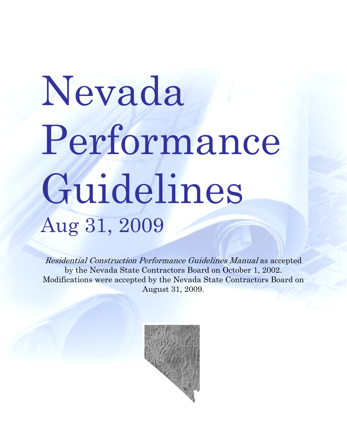# Nevada Performance Guidelines Aug 31, 2009

Residential Construction Performance Guidelines Manual as accepted by the Nevada State Contractors Board on October 1, 2002. Modifications were accepted by the Nevada State Contractors Board on August 31, 2009.

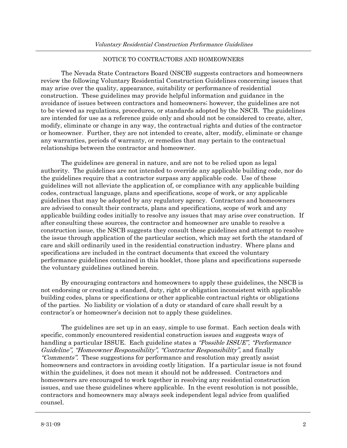#### NOTICE TO CONTRACTORS AND HOMEOWNERS

The Nevada State Contractors Board (NSCB) suggests contractors and homeowners review the following Voluntary Residential Construction Guidelines concerning issues that may arise over the quality, appearance, suitability or performance of residential construction. These guidelines may provide helpful information and guidance in the avoidance of issues between contractors and homeowners; however, the guidelines are not to be viewed as regulations, procedures, or standards adopted by the NSCB. The guidelines are intended for use as a reference guide only and should not be considered to create, alter, modify, eliminate or change in any way, the contractual rights and duties of the contractor or homeowner. Further, they are not intended to create, alter, modify, eliminate or change any warranties, periods of warranty, or remedies that may pertain to the contractual relationships between the contractor and homeowner.

 The guidelines are general in nature, and are not to be relied upon as legal authority. The guidelines are not intended to override any applicable building code, nor do the guidelines require that a contractor surpass any applicable code. Use of these guidelines will not alleviate the application of, or compliance with any applicable building codes, contractual language, plans and specifications, scope of work, or any applicable guidelines that may be adopted by any regulatory agency. Contractors and homeowners are advised to consult their contracts, plans and specifications, scope of work and any applicable building codes initially to resolve any issues that may arise over construction. If after consulting these sources, the contractor and homeowner are unable to resolve a construction issue, the NSCB suggests they consult these guidelines and attempt to resolve the issue through application of the particular section, which may set forth the standard of care and skill ordinarily used in the residential construction industry. Where plans and specifications are included in the contract documents that exceed the voluntary performance guidelines contained in this booklet, those plans and specifications supersede the voluntary guidelines outlined herein.

 By encouraging contractors and homeowners to apply these guidelines, the NSCB is not endorsing or creating a standard, duty, right or obligation inconsistent with applicable building codes, plans or specifications or other applicable contractual rights or obligations of the parties. No liability or violation of a duty or standard of care shall result by a contractor's or homeowner's decision not to apply these guidelines.

 The guidelines are set up in an easy, simple to use format. Each section deals with specific, commonly encountered residential construction issues and suggests ways of handling a particular ISSUE. Each guideline states a "Possible ISSUE", "Performance Guideline", "Homeowner Responsibility", "Contractor Responsibility", and finally "Comments". These suggestions for performance and resolution may greatly assist homeowners and contractors in avoiding costly litigation. If a particular issue is not found within the guidelines, it does not mean it should not be addressed. Contractors and homeowners are encouraged to work together in resolving any residential construction issues, and use these guidelines where applicable. In the event resolution is not possible, contractors and homeowners may always seek independent legal advice from qualified counsel.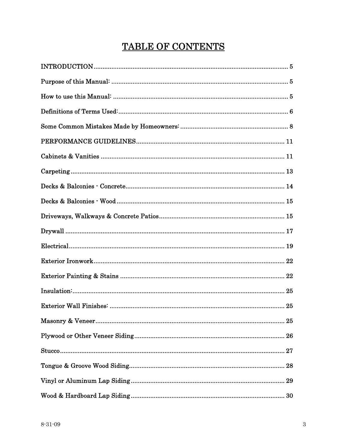# TABLE OF CONTENTS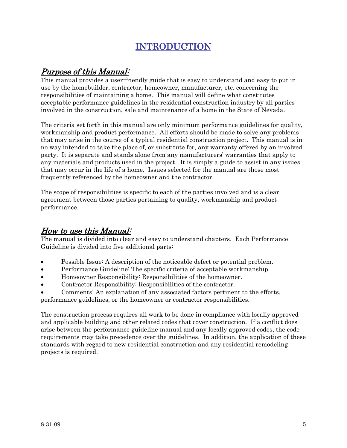# INTRODUCTION

# <span id="page-4-0"></span>Purpose of this Manual:

This manual provides a user-friendly guide that is easy to understand and easy to put in use by the homebuilder, contractor, homeowner, manufacturer, etc. concerning the responsibilities of maintaining a home. This manual will define what constitutes acceptable performance guidelines in the residential construction industry by all parties involved in the construction, sale and maintenance of a home in the State of Nevada.

The criteria set forth in this manual are only minimum performance guidelines for quality, workmanship and product performance. All efforts should be made to solve any problems that may arise in the course of a typical residential construction project. This manual is in no way intended to take the place of, or substitute for, any warranty offered by an involved party. It is separate and stands alone from any manufacturers' warranties that apply to any materials and products used in the project. It is simply a guide to assist in any issues that may occur in the life of a home. Issues selected for the manual are those most frequently referenced by the homeowner and the contractor.

The scope of responsibilities is specific to each of the parties involved and is a clear agreement between those parties pertaining to quality, workmanship and product performance.

# How to use this Manual:

The manual is divided into clear and easy to understand chapters. Each Performance Guideline is divided into five additional parts:

- Possible Issue: A description of the noticeable defect or potential problem.
- Performance Guideline: The specific criteria of acceptable workmanship.
- Homeowner Responsibility: Responsibilities of the homeowner.
- Contractor Responsibility: Responsibilities of the contractor.
- Comments: An explanation of any associated factors pertinent to the efforts, performance guidelines, or the homeowner or contractor responsibilities.

The construction process requires all work to be done in compliance with locally approved and applicable building and other related codes that cover construction. If a conflict does arise between the performance guideline manual and any locally approved codes, the code requirements may take precedence over the guidelines. In addition, the application of these standards with regard to new residential construction and any residential remodeling projects is required.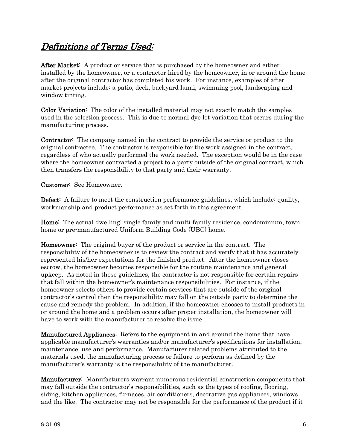# <span id="page-5-0"></span>Definitions of Terms Used:

After Market: A product or service that is purchased by the homeowner and either installed by the homeowner, or a contractor hired by the homeowner, in or around the home after the original contractor has completed his work. For instance, examples of after market projects include: a patio, deck, backyard lanai, swimming pool, landscaping and window tinting.

Color Variation: The color of the installed material may not exactly match the samples used in the selection process. This is due to normal dye lot variation that occurs during the manufacturing process.

Contractor: The company named in the contract to provide the service or product to the original contractee. The contractor is responsible for the work assigned in the contract, regardless of who actually performed the work needed. The exception would be in the case where the homeowner contracted a project to a party outside of the original contract, which then transfers the responsibility to that party and their warranty.

Customer: See Homeowner.

Defect: A failure to meet the construction performance guidelines, which include: quality, workmanship and product performance as set forth in this agreement.

Home: The actual dwelling: single family and multi-family residence, condominium, town home or pre-manufactured Uniform Building Code (UBC) home.

Homeowner: The original buyer of the product or service in the contract. The responsibility of the homeowner is to review the contract and verify that it has accurately represented his/her expectations for the finished product. After the homeowner closes escrow, the homeowner becomes responsible for the routine maintenance and general upkeep. As noted in these guidelines, the contractor is not responsible for certain repairs that fall within the homeowner's maintenance responsibilities. For instance, if the homeowner selects others to provide certain services that are outside of the original contractor's control then the responsibility may fall on the outside party to determine the cause and remedy the problem. In addition, if the homeowner chooses to install products in or around the home and a problem occurs after proper installation, the homeowner will have to work with the manufacturer to resolve the issue.

Manufactured Appliances: Refers to the equipment in and around the home that have applicable manufacturer's warranties and/or manufacturer's specifications for installation, maintenance, use and performance. Manufacturer related problems attributed to the materials used, the manufacturing process or failure to perform as defined by the manufacturer's warranty is the responsibility of the manufacturer.

Manufacturer: Manufacturers warrant numerous residential construction components that may fall outside the contractor's responsibilities, such as the types of roofing, flooring, siding, kitchen appliances, furnaces, air conditioners, decorative gas appliances, windows and the like. The contractor may not be responsible for the performance of the product if it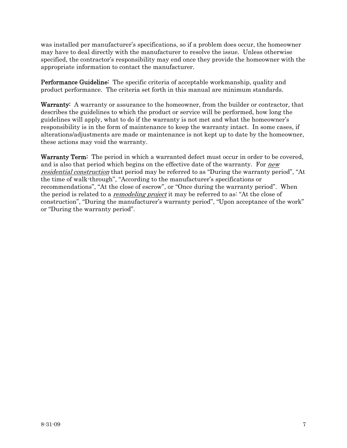was installed per manufacturer's specifications, so if a problem does occur, the homeowner may have to deal directly with the manufacturer to resolve the issue. Unless otherwise specified, the contractor's responsibility may end once they provide the homeowner with the appropriate information to contact the manufacturer.

Performance Guideline: The specific criteria of acceptable workmanship, quality and product performance. The criteria set forth in this manual are minimum standards.

Warranty: A warranty or assurance to the homeowner, from the builder or contractor, that describes the guidelines to which the product or service will be performed, how long the guidelines will apply, what to do if the warranty is not met and what the homeowner's responsibility is in the form of maintenance to keep the warranty intact. In some cases, if alterations/adjustments are made or maintenance is not kept up to date by the homeowner, these actions may void the warranty.

Warranty Term: The period in which a warranted defect must occur in order to be covered. and is also that period which begins on the effective date of the warranty. For *new* residential construction that period may be referred to as "During the warranty period", "At the time of walk-through", "According to the manufacturer's specifications or recommendations", "At the close of escrow", or "Once during the warranty period". When the period is related to a *remodeling project* it may be referred to as: "At the close of construction", "During the manufacturer's warranty period", "Upon acceptance of the work" or "During the warranty period".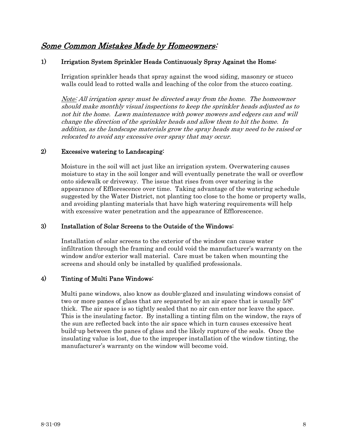# <span id="page-7-0"></span>Some Common Mistakes Made by Homeowners:

# 1) Irrigation System Sprinkler Heads Continuously Spray Against the Home:

Irrigation sprinkler heads that spray against the wood siding, masonry or stucco walls could lead to rotted walls and leaching of the color from the stucco coating.

Note: All irrigation spray must be directed away from the home. The homeowner should make monthly visual inspections to keep the sprinkler heads adjusted as to not hit the home. Lawn maintenance with power mowers and edgers can and will change the direction of the sprinkler heads and allow them to hit the home. In addition, as the landscape materials grow the spray heads may need to be raised or relocated to avoid any excessive over spray that may occur.

#### 2) Excessive watering to Landscaping:

Moisture in the soil will act just like an irrigation system. Overwatering causes moisture to stay in the soil longer and will eventually penetrate the wall or overflow onto sidewalk or driveway. The issue that rises from over watering is the appearance of Efflorescence over time. Taking advantage of the watering schedule suggested by the Water District, not planting too close to the home or property walls, and avoiding planting materials that have high watering requirements will help with excessive water penetration and the appearance of Efflorescence.

## 3) Installation of Solar Screens to the Outside of the Windows:

Installation of solar screens to the exterior of the window can cause water infiltration through the framing and could void the manufacturer's warranty on the window and/or exterior wall material. Care must be taken when mounting the screens and should only be installed by qualified professionals.

# 4) Tinting of Multi Pane Windows:

Multi pane windows, also know as double-glazed and insulating windows consist of two or more panes of glass that are separated by an air space that is usually 5/8" thick. The air space is so tightly sealed that no air can enter nor leave the space. This is the insulating factor. By installing a tinting film on the window, the rays of the sun are reflected back into the air space which in turn causes excessive heat build-up between the panes of glass and the likely rupture of the seals. Once the insulating value is lost, due to the improper installation of the window tinting, the manufacturer's warranty on the window will become void.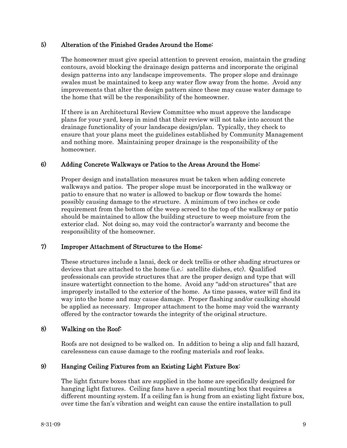# 5) Alteration of the Finished Grades Around the Home:

The homeowner must give special attention to prevent erosion, maintain the grading contours, avoid blocking the drainage design patterns and incorporate the original design patterns into any landscape improvements. The proper slope and drainage swales must be maintained to keep any water flow away from the home. Avoid any improvements that alter the design pattern since these may cause water damage to the home that will be the responsibility of the homeowner.

If there is an Architectural Review Committee who must approve the landscape plans for your yard, keep in mind that their review will not take into account the drainage functionality of your landscape design/plan. Typically, they check to ensure that your plans meet the guidelines established by Community Management and nothing more. Maintaining proper drainage is the responsibility of the homeowner.

# 6) Adding Concrete Walkways or Patios to the Areas Around the Home:

Proper design and installation measures must be taken when adding concrete walkways and patios. The proper slope must be incorporated in the walkway or patio to ensure that no water is allowed to backup or flow towards the home; possibly causing damage to the structure. A minimum of two inches or code requirement from the bottom of the weep screed to the top of the walkway or patio should be maintained to allow the building structure to weep moisture from the exterior clad. Not doing so, may void the contractor's warranty and become the responsibility of the homeowner.

# 7) Improper Attachment of Structures to the Home:

These structures include a lanai, deck or deck trellis or other shading structures or devices that are attached to the home (i.e.: satellite dishes, etc). Qualified professionals can provide structures that are the proper design and type that will insure watertight connection to the home. Avoid any "add-on structures" that are improperly installed to the exterior of the home. As time passes, water will find its way into the home and may cause damage. Proper flashing and/or caulking should be applied as necessary. Improper attachment to the home may void the warranty offered by the contractor towards the integrity of the original structure.

# 8) Walking on the Roof:

Roofs are not designed to be walked on. In addition to being a slip and fall hazard, carelessness can cause damage to the roofing materials and roof leaks.

# 9) Hanging Ceiling Fixtures from an Existing Light Fixture Box:

The light fixture boxes that are supplied in the home are specifically designed for hanging light fixtures. Ceiling fans have a special mounting box that requires a different mounting system. If a ceiling fan is hung from an existing light fixture box, over time the fan's vibration and weight can cause the entire installation to pull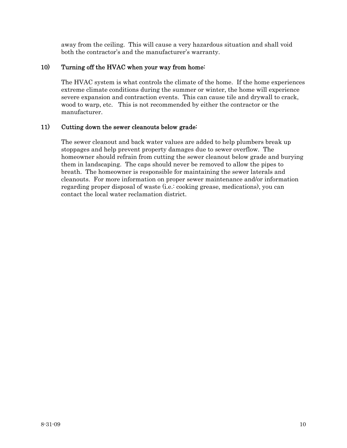away from the ceiling. This will cause a very hazardous situation and shall void both the contractor's and the manufacturer's warranty.

# 10) Turning off the HVAC when your way from home:

The HVAC system is what controls the climate of the home. If the home experiences extreme climate conditions during the summer or winter, the home will experience severe expansion and contraction events. This can cause tile and drywall to crack, wood to warp, etc. This is not recommended by either the contractor or the manufacturer.

# 11) Cutting down the sewer cleanouts below grade:

The sewer cleanout and back water values are added to help plumbers break up stoppages and help prevent property damages due to sewer overflow. The homeowner should refrain from cutting the sewer cleanout below grade and burying them in landscaping. The caps should never be removed to allow the pipes to breath. The homeowner is responsible for maintaining the sewer laterals and cleanouts. For more information on proper sewer maintenance and/or information regarding proper disposal of waste (i.e.: cooking grease, medications), you can contact the local water reclamation district.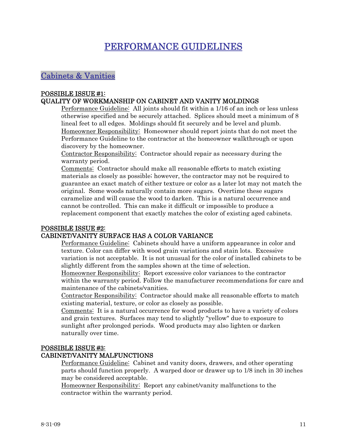# PERFORMANCE GUIDELINES

<span id="page-10-0"></span>Cabinets & Vanities

# POSSIBLE ISSUE #1:

# QUALITY OF WORKMANSHIP ON CABINET AND VANITY MOLDINGS

Performance Guideline: All joints should fit within a 1/16 of an inch or less unless otherwise specified and be securely attached. Splices should meet a minimum of 8 lineal feet to all edges. Moldings should fit securely and be level and plumb. Homeowner Responsibility: Homeowner should report joints that do not meet the Performance Guideline to the contractor at the homeowner walkthrough or upon discovery by the homeowner.

Contractor Responsibility: Contractor should repair as necessary during the warranty period.

Comments: Contractor should make all reasonable efforts to match existing materials as closely as possible; however, the contractor may not be required to guarantee an exact match of either texture or color as a later lot may not match the original. Some woods naturally contain more sugars. Overtime these sugars caramelize and will cause the wood to darken. This is a natural occurrence and cannot be controlled. This can make it difficult or impossible to produce a replacement component that exactly matches the color of existing aged cabinets.

#### POSSIBLE ISSUE #2:

# CABINET/VANITY SURFACE HAS A COLOR VARIANCE

Performance Guideline: Cabinets should have a uniform appearance in color and texture. Color can differ with wood grain variations and stain lots. Excessive variation is not acceptable. It is not unusual for the color of installed cabinets to be slightly different from the samples shown at the time of selection.

Homeowner Responsibility: Report excessive color variances to the contractor within the warranty period. Follow the manufacturer recommendations for care and maintenance of the cabinets/vanities.

Contractor Responsibility: Contractor should make all reasonable efforts to match existing material, texture, or color as closely as possible.

Comments: It is a natural occurrence for wood products to have a variety of colors and grain textures. Surfaces may tend to slightly "yellow" due to exposure to sunlight after prolonged periods. Wood products may also lighten or darken naturally over time.

#### POSSIBLE ISSUE #3: CABINET/VANITY MALFUNCTIONS

Performance Guideline: Cabinet and vanity doors, drawers, and other operating parts should function properly. A warped door or drawer up to 1/8 inch in 30 inches may be considered acceptable.

Homeowner Responsibility: Report any cabinet/vanity malfunctions to the contractor within the warranty period.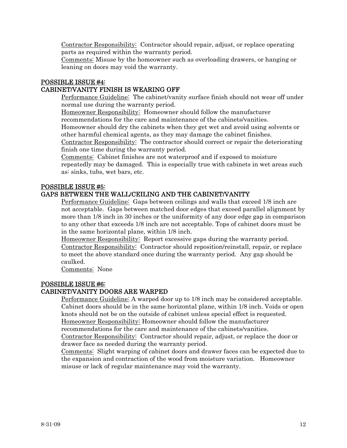Contractor Responsibility: Contractor should repair, adjust, or replace operating parts as required within the warranty period.

Comments: Misuse by the homeowner such as overloading drawers, or hanging or leaning on doors may void the warranty.

#### POSSIBLE ISSUE #4: CABINET/VANITY FINISH IS WEARING OFF

Performance Guideline: The cabinet/vanity surface finish should not wear off under normal use during the warranty period.

Homeowner Responsibility: Homeowner should follow the manufacturer recommendations for the care and maintenance of the cabinets/vanities.

Homeowner should dry the cabinets when they get wet and avoid using solvents or other harmful chemical agents, as they may damage the cabinet finishes.

Contractor Responsibility: The contractor should correct or repair the deteriorating finish one time during the warranty period.

Comments: Cabinet finishes are not waterproof and if exposed to moisture repeatedly may be damaged. This is especially true with cabinets in wet areas such as: sinks, tubs, wet bars, etc.

# POSSIBLE ISSUE #5:

# GAPS BETWEEN THE WALL/CEILING AND THE CABINET/VANITY

Performance Guideline: Gaps between ceilings and walls that exceed 1/8 inch are not acceptable. Gaps between matched door edges that exceed parallel alignment by more than 1/8 inch in 30 inches or the uniformity of any door edge gap in comparison to any other that exceeds 1/8 inch are not acceptable. Tops of cabinet doors must be in the same horizontal plane, within 1/8 inch.

Homeowner Responsibility: Report excessive gaps during the warranty period. Contractor Responsibility: Contractor should reposition/reinstall, repair, or replace to meet the above standard once during the warranty period. Any gap should be caulked.

Comments: None

# POSSIBLE ISSUE #6:

# CABINET/VANITY DOORS ARE WARPED

Performance Guideline: A warped door up to 1/8 inch may be considered acceptable. Cabinet doors should be in the same horizontal plane, within 1/8 inch. Voids or open knots should not be on the outside of cabinet unless special effect is requested. Homeowner Responsibility: Homeowner should follow the manufacturer recommendations for the care and maintenance of the cabinets/vanities.

Contractor Responsibility: Contractor should repair, adjust, or replace the door or drawer face as needed during the warranty period.

Comments: Slight warping of cabinet doors and drawer faces can be expected due to the expansion and contraction of the wood from moisture variation. Homeowner misuse or lack of regular maintenance may void the warranty.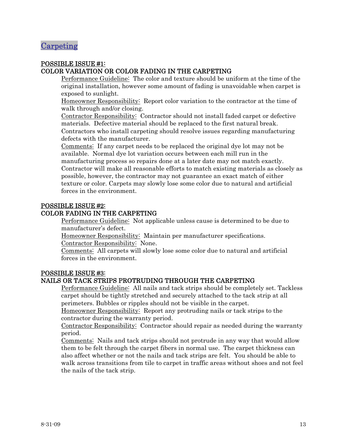# <span id="page-12-0"></span>Carpeting

# POSSIBLE ISSUE #1: COLOR VARIATION OR COLOR FADING IN THE CARPETING

Performance Guideline: The color and texture should be uniform at the time of the original installation, however some amount of fading is unavoidable when carpet is exposed to sunlight.

Homeowner Responsibility: Report color variation to the contractor at the time of walk through and/or closing.

Contractor Responsibility: Contractor should not install faded carpet or defective materials. Defective material should be replaced to the first natural break. Contractors who install carpeting should resolve issues regarding manufacturing defects with the manufacturer.

Comments: If any carpet needs to be replaced the original dye lot may not be available. Normal dye lot variation occurs between each mill run in the manufacturing process so repairs done at a later date may not match exactly. Contractor will make all reasonable efforts to match existing materials as closely as possible, however, the contractor may not guarantee an exact match of either texture or color. Carpets may slowly lose some color due to natural and artificial forces in the environment.

# POSSIBLE ISSUE #2:

# COLOR FADING IN THE CARPETING

Performance Guideline: Not applicable unless cause is determined to be due to manufacturer's defect.

Homeowner Responsibility: Maintain per manufacturer specifications. Contractor Responsibility: None.

Comments: All carpets will slowly lose some color due to natural and artificial forces in the environment.

# POSSIBLE ISSUE #3:

# NAILS OR TACK STRIPS PROTRUDING THROUGH THE CARPETING

Performance Guideline: All nails and tack strips should be completely set. Tackless carpet should be tightly stretched and securely attached to the tack strip at all perimeters. Bubbles or ripples should not be visible in the carpet.

Homeowner Responsibility: Report any protruding nails or tack strips to the contractor during the warranty period.

Contractor Responsibility: Contractor should repair as needed during the warranty period.

Comments: Nails and tack strips should not protrude in any way that would allow them to be felt through the carpet fibers in normal use. The carpet thickness can also affect whether or not the nails and tack strips are felt. You should be able to walk across transitions from tile to carpet in traffic areas without shoes and not feel the nails of the tack strip.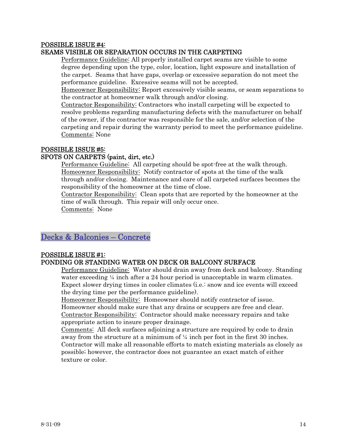#### <span id="page-13-0"></span>POSSIBLE ISSUE #4: SEAMS VISIBLE OR SEPARATION OCCURS IN THE CARPETING

Performance Guideline: All properly installed carpet seams are visible to some degree depending upon the type, color, location, light exposure and installation of the carpet. Seams that have gaps, overlap or excessive separation do not meet the performance guideline. Excessive seams will not be accepted.

Homeowner Responsibility: Report excessively visible seams, or seam separations to the contractor at homeowner walk through and/or closing.

Contractor Responsibility: Contractors who install carpeting will be expected to resolve problems regarding manufacturing defects with the manufacturer on behalf of the owner, if the contractor was responsible for the sale, and/or selection of the carpeting and repair during the warranty period to meet the performance guideline. Comments: None

# POSSIBLE ISSUE #5:

# SPOTS ON CARPETS (paint, dirt, etc.)

Performance Guideline: All carpeting should be spot-free at the walk through. Homeowner Responsibility: Notify contractor of spots at the time of the walk through and/or closing. Maintenance and care of all carpeted surfaces becomes the responsibility of the homeowner at the time of close.

Contractor Responsibility: Clean spots that are reported by the homeowner at the time of walk through. This repair will only occur once.

Comments: None

# Decks & Balconies – Concrete

#### POSSIBLE ISSUE #1: PONDING OR STANDING WATER ON DECK OR BALCONY SURFACE

Performance Guideline: Water should drain away from deck and balcony. Standing water exceeding  $\frac{1}{4}$  inch after a 24 hour period is unacceptable in warm climates. Expect slower drying times in cooler climates (i.e.: snow and ice events will exceed the drying time per the performance guideline).

Homeowner Responsibility: Homeowner should notify contractor of issue. Homeowner should make sure that any drains or scuppers are free and clear. Contractor Responsibility: Contractor should make necessary repairs and take appropriate action to insure proper drainage.

Comments: All deck surfaces adjoining a structure are required by code to drain away from the structure at a minimum of ¼ inch per foot in the first 30 inches. Contractor will make all reasonable efforts to match existing materials as closely as possible; however, the contractor does not guarantee an exact match of either texture or color.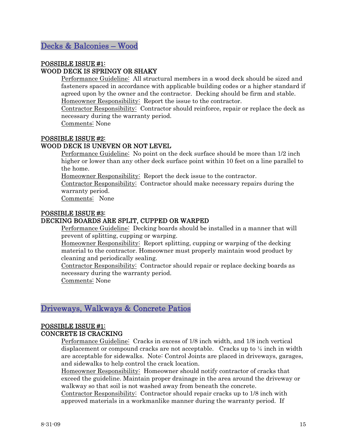# <span id="page-14-0"></span>POSSIBLE ISSUE #1: WOOD DECK IS SPRINGY OR SHAKY

Performance Guideline: All structural members in a wood deck should be sized and fasteners spaced in accordance with applicable building codes or a higher standard if agreed upon by the owner and the contractor. Decking should be firm and stable. Homeowner Responsibility: Report the issue to the contractor.

Contractor Responsibility: Contractor should reinforce, repair or replace the deck as necessary during the warranty period.

Comments: None

# POSSIBLE ISSUE #2:

# WOOD DECK IS UNEVEN OR NOT LEVEL

Performance Guideline: No point on the deck surface should be more than 1/2 inch higher or lower than any other deck surface point within 10 feet on a line parallel to the home.

Homeowner Responsibility: Report the deck issue to the contractor.

Contractor Responsibility: Contractor should make necessary repairs during the warranty period.

Comments: None

# POSSIBLE ISSUE #3:

# DECKING BOARDS ARE SPLIT, CUPPED OR WARPED

Performance Guideline: Decking boards should be installed in a manner that will prevent of splitting, cupping or warping.

Homeowner Responsibility: Report splitting, cupping or warping of the decking material to the contractor. Homeowner must properly maintain wood product by cleaning and periodically sealing.

Contractor Responsibility: Contractor should repair or replace decking boards as necessary during the warranty period.

Comments: None

# Driveways, Walkways & Concrete Patios

#### POSSIBLE ISSUE #1: CONCRETE IS CRACKING

Performance Guideline: Cracks in excess of 1/8 inch width, and 1/8 inch vertical displacement or compound cracks are not acceptable. Cracks up to ¼ inch in width are acceptable for sidewalks. Note: Control Joints are placed in driveways, garages, and sidewalks to help control the crack location.

Homeowner Responsibility: Homeowner should notify contractor of cracks that exceed the guideline. Maintain proper drainage in the area around the driveway or walkway so that soil is not washed away from beneath the concrete.

Contractor Responsibility: Contractor should repair cracks up to 1/8 inch with approved materials in a workmanlike manner during the warranty period. If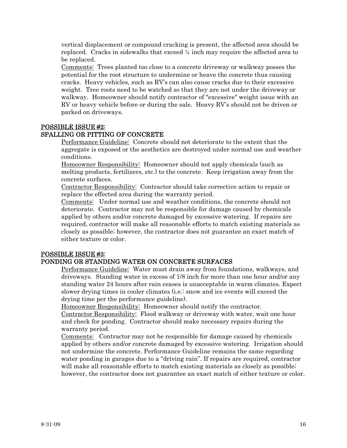vertical displacement or compound cracking is present, the affected area should be replaced. Cracks in sidewalks that exceed  $\frac{1}{4}$  inch may require the affected area to be replaced.

Comments: Trees planted too close to a concrete driveway or walkway posses the potential for the root structure to undermine or heave the concrete thus causing cracks. Heavy vehicles, such as RV's can also cause cracks due to their excessive weight. Tree roots need to be watched so that they are not under the driveway or walkway. Homeowner should notify contractor of "excessive" weight issue with an RV or heavy vehicle before or during the sale. Heavy RV's should not be driven or parked on driveways.

# POSSIBLE ISSUE #2:

# SPALLING OR PITTING OF CONCRETE

Performance Guideline: Concrete should not deteriorate to the extent that the aggregate is exposed or the aesthetics are destroyed under normal use and weather conditions.

Homeowner Responsibility: Homeowner should not apply chemicals (such as melting products, fertilizers, etc.) to the concrete. Keep irrigation away from the concrete surfaces.

Contractor Responsibility: Contractor should take corrective action to repair or replace the effected area during the warranty period.

Comments: Under normal use and weather conditions, the concrete should not deteriorate. Contractor may not be responsible for damage caused by chemicals applied by others and/or concrete damaged by excessive watering. If repairs are required, contractor will make all reasonable efforts to match existing materials as closely as possible; however, the contractor does not guarantee an exact match of either texture or color.

# POSSIBLE ISSUE #3:

# PONDING OR STANDING WATER ON CONCRETE SURFACES

Performance Guideline: Water must drain away from foundations, walkways, and driveways. Standing water in excess of 1/8 inch for more than one hour and/or any standing water 24 hours after rain ceases is unacceptable in warm climates. Expect slower drying times in cooler climates (i.e.: snow and ice events will exceed the drying time per the performance guideline).

Homeowner Responsibility: Homeowner should notify the contractor.

Contractor Responsibility: Flood walkway or driveway with water, wait one hour and check for ponding. Contractor should make necessary repairs during the warranty period.

Comments: Contractor may not be responsible for damage caused by chemicals applied by others and/or concrete damaged by excessive watering. Irrigation should not undermine the concrete. Performance Guideline remains the same regarding water ponding in garages due to a "driving rain". If repairs are required, contractor will make all reasonable efforts to match existing materials as closely as possible; however, the contractor does not guarantee an exact match of either texture or color.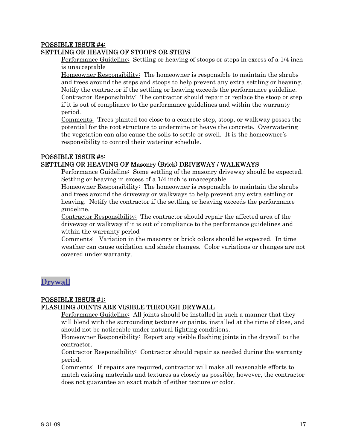### <span id="page-16-0"></span>POSSIBLE ISSUE #4: SETTLING OR HEAVING OF STOOPS OR STEPS

Performance Guideline: Settling or heaving of stoops or steps in excess of a 1/4 inch is unacceptable

Homeowner Responsibility: The homeowner is responsible to maintain the shrubs and trees around the steps and stoops to help prevent any extra settling or heaving. Notify the contractor if the settling or heaving exceeds the performance guideline. Contractor Responsibility: The contractor should repair or replace the stoop or step if it is out of compliance to the performance guidelines and within the warranty period.

Comments: Trees planted too close to a concrete step, stoop, or walkway posses the potential for the root structure to undermine or heave the concrete. Overwatering the vegetation can also cause the soils to settle or swell. It is the homeowner's responsibility to control their watering schedule.

#### POSSIBLE ISSUE #5: SETTLING OR HEAVING OF Masonry (Brick) DRIVEWAY / WALKWAYS

Performance Guideline: Some settling of the masonry driveway should be expected. Settling or heaving in excess of a 1/4 inch is unacceptable.

Homeowner Responsibility: The homeowner is responsible to maintain the shrubs and trees around the driveway or walkways to help prevent any extra settling or heaving. Notify the contractor if the settling or heaving exceeds the performance guideline.

Contractor Responsibility: The contractor should repair the affected area of the driveway or walkway if it is out of compliance to the performance guidelines and within the warranty period

Comments: Variation in the masonry or brick colors should be expected. In time weather can cause oxidation and shade changes. Color variations or changes are not covered under warranty.

# Drywall

# POSSIBLE ISSUE #1: FLASHING JOINTS ARE VISIBLE THROUGH DRYWALL

Performance Guideline: All joints should be installed in such a manner that they will blend with the surrounding textures or paints, installed at the time of close, and should not be noticeable under natural lighting conditions.

Homeowner Responsibility: Report any visible flashing joints in the drywall to the contractor.

Contractor Responsibility: Contractor should repair as needed during the warranty period.

Comments: If repairs are required, contractor will make all reasonable efforts to match existing materials and textures as closely as possible, however, the contractor does not guarantee an exact match of either texture or color.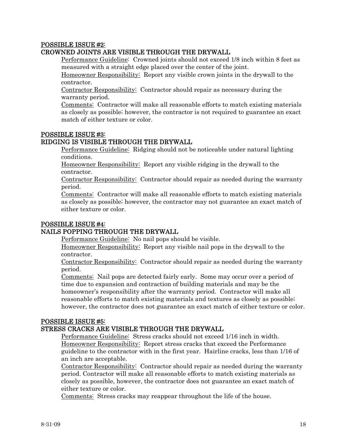# POSSIBLE ISSUE #2:

# CROWNED JOINTS ARE VISIBLE THROUGH THE DRYWALL

Performance Guideline<sup>:</sup> Crowned joints should not exceed 1/8 inch within 8 feet as measured with a straight edge placed over the center of the joint.

Homeowner Responsibility: Report any visible crown joints in the drywall to the contractor.

Contractor Responsibility: Contractor should repair as necessary during the warranty period.

Comments: Contractor will make all reasonable efforts to match existing materials as closely as possible; however, the contractor is not required to guarantee an exact match of either texture or color.

#### POSSIBLE ISSUE #3:

#### RIDGING IS VISIBLE THROUGH THE DRYWALL

Performance Guideline: Ridging should not be noticeable under natural lighting conditions.

Homeowner Responsibility: Report any visible ridging in the drywall to the contractor.

Contractor Responsibility: Contractor should repair as needed during the warranty period.

Comments: Contractor will make all reasonable efforts to match existing materials as closely as possible; however, the contractor may not guarantee an exact match of either texture or color.

## POSSIBLE ISSUE #4:

#### NAILS POPPING THROUGH THE DRYWALL

Performance Guideline: No nail pops should be visible.

Homeowner Responsibility: Report any visible nail pops in the drywall to the contractor.

Contractor Responsibility: Contractor should repair as needed during the warranty period.

Comments: Nail pops are detected fairly early. Some may occur over a period of time due to expansion and contraction of building materials and may be the homeowner's responsibility after the warranty period. Contractor will make all reasonable efforts to match existing materials and textures as closely as possible; however, the contractor does not guarantee an exact match of either texture or color.

#### POSSIBLE ISSUE #5:

#### STRESS CRACKS ARE VISIBLE THROUGH THE DRYWALL

Performance Guideline: Stress cracks should not exceed 1/16 inch in width. Homeowner Responsibility: Report stress cracks that exceed the Performance guideline to the contractor with in the first year. Hairline cracks, less than 1/16 of an inch are acceptable.

Contractor Responsibility: Contractor should repair as needed during the warranty period. Contractor will make all reasonable efforts to match existing materials as closely as possible, however, the contractor does not guarantee an exact match of either texture or color.

Comments: Stress cracks may reappear throughout the life of the house.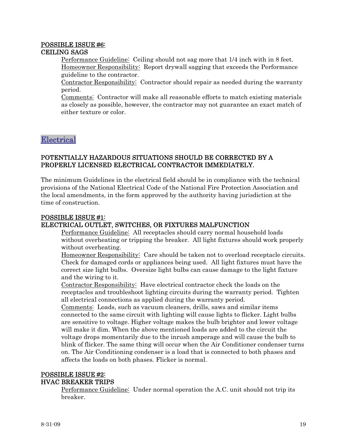#### <span id="page-18-0"></span>POSSIBLE ISSUE #6: CEILING SAGS

Performance Guideline: Ceiling should not sag more that 1/4 inch with in 8 feet. Homeowner Responsibility: Report drywall sagging that exceeds the Performance guideline to the contractor.

Contractor Responsibility: Contractor should repair as needed during the warranty period.

Comments: Contractor will make all reasonable efforts to match existing materials as closely as possible, however, the contractor may not guarantee an exact match of either texture or color.

Electrical

# POTENTIALLY HAZARDOUS SITUATIONS SHOULD BE CORRECTED BY A PROPERLY LICENSED ELECTRICAL CONTRACTOR IMMEDIATELY.

The minimum Guidelines in the electrical field should be in compliance with the technical provisions of the National Electrical Code of the National Fire Protection Association and the local amendments, in the form approved by the authority having jurisdiction at the time of construction.

#### POSSIBLE ISSUE #1: ELECTRICAL OUTLET, SWITCHES, OR FIXTURES MALFUNCTION

Performance Guideline: All receptacles should carry normal household loads without overheating or tripping the breaker. All light fixtures should work properly without overheating.

Homeowner Responsibility: Care should be taken not to overload receptacle circuits. Check for damaged cords or appliances being used. All light fixtures must have the correct size light bulbs. Oversize light bulbs can cause damage to the light fixture and the wiring to it.

Contractor Responsibility: Have electrical contractor check the loads on the receptacles and troubleshoot lighting circuits during the warranty period. Tighten all electrical connections as applied during the warranty period.

Comments: Loads, such as vacuum cleaners, drills, saws and similar items connected to the same circuit with lighting will cause lights to flicker. Light bulbs are sensitive to voltage. Higher voltage makes the bulb brighter and lower voltage will make it dim. When the above mentioned loads are added to the circuit the voltage drops momentarily due to the inrush amperage and will cause the bulb to blink of flicker. The same thing will occur when the Air Conditioner condenser turns on. The Air Conditioning condenser is a load that is connected to both phases and affects the loads on both phases. Flicker is normal.

#### POSSIBLE ISSUE #2: HVAC BREAKER TRIPS

Performance Guideline: Under normal operation the A.C. unit should not trip its breaker.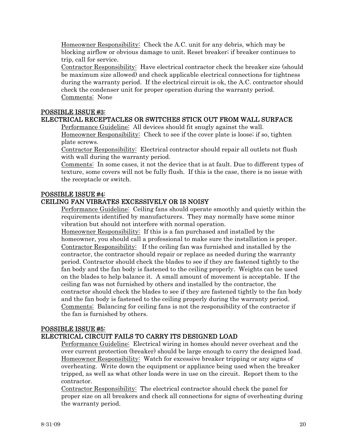Homeowner Responsibility: Check the A.C. unit for any debris, which may be blocking airflow or obvious damage to unit. Reset breaker; if breaker continues to trip, call for service.

Contractor Responsibility: Have electrical contractor check the breaker size (should be maximum size allowed) and check applicable electrical connections for tightness during the warranty period. If the electrical circuit is ok, the A.C. contractor should check the condenser unit for proper operation during the warranty period. Comments: None

#### POSSIBLE ISSUE #3:

# ELECTRICAL RECEPTACLES OR SWITCHES STICK OUT FROM WALL SURFACE

Performance Guideline: All devices should fit snugly against the wall. Homeowner Responsibility: Check to see if the cover plate is loose; if so, tighten plate screws.

Contractor Responsibility: Electrical contractor should repair all outlets not flush with wall during the warranty period.

Comments: In some cases, it not the device that is at fault. Due to different types of texture, some covers will not be fully flush. If this is the case, there is no issue with the receptacle or switch.

#### POSSIBLE ISSUE #4:

# CEILING FAN VIBRATES EXCESSIVELY OR IS NOISY

Performance Guideline: Ceiling fans should operate smoothly and quietly within the requirements identified by manufacturers. They may normally have some minor vibration but should not interfere with normal operation.

Homeowner Responsibility: If this is a fan purchased and installed by the homeowner, you should call a professional to make sure the installation is proper. Contractor Responsibility: If the ceiling fan was furnished and installed by the contractor, the contractor should repair or replace as needed during the warranty period. Contractor should check the blades to see if they are fastened tightly to the fan body and the fan body is fastened to the ceiling properly. Weights can be used on the blades to help balance it. A small amount of movement is acceptable. If the ceiling fan was not furnished by others and installed by the contractor, the contractor should check the blades to see if they are fastened tightly to the fan body and the fan body is fastened to the ceiling properly during the warranty period. Comments: Balancing for ceiling fans is not the responsibility of the contractor if the fan is furnished by others.

#### POSSIBLE ISSUE #5:

# ELECTRICAL CIRCUIT FAILS TO CARRY ITS DESIGNED LOAD

Performance Guideline: Electrical wiring in homes should never overheat and the over current protection (breaker) should be large enough to carry the designed load. Homeowner Responsibility: Watch for excessive breaker tripping or any signs of overheating. Write down the equipment or appliance being used when the breaker tripped, as well as what other loads were in use on the circuit. Report them to the contractor.

Contractor Responsibility: The electrical contractor should check the panel for proper size on all breakers and check all connections for signs of overheating during the warranty period.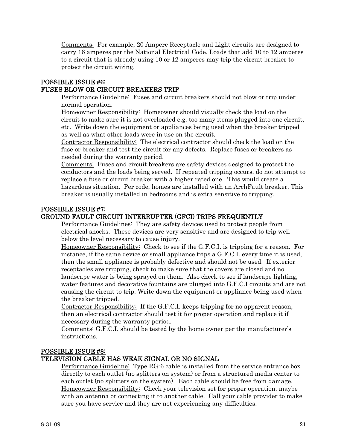Comments: For example, 20 Ampere Receptacle and Light circuits are designed to carry 16 amperes per the National Electrical Code. Loads that add 10 to 12 amperes to a circuit that is already using 10 or 12 amperes may trip the circuit breaker to protect the circuit wiring.

# POSSIBLE ISSUE #6: FUSES BLOW OR CIRCUIT BREAKERS TRIP

Performance Guideline: Fuses and circuit breakers should not blow or trip under normal operation.

Homeowner Responsibility: Homeowner should visually check the load on the circuit to make sure it is not overloaded e.g. too many items plugged into one circuit, etc. Write down the equipment or appliances being used when the breaker tripped as well as what other loads were in use on the circuit.

Contractor Responsibility: The electrical contractor should check the load on the fuse or breaker and test the circuit for any defects. Replace fuses or breakers as needed during the warranty period.

Comments: Fuses and circuit breakers are safety devices designed to protect the conductors and the loads being served. If repeated tripping occurs, do not attempt to replace a fuse or circuit breaker with a higher rated one. This would create a hazardous situation. Per code, homes are installed with an ArchFault breaker. This breaker is usually installed in bedrooms and is extra sensitive to tripping.

# POSSIBLE ISSUE #7:

# GROUND FAULT CIRCUIT INTERRUPTER (GFCI) TRIPS FREQUENTLY

Performance Guidelines: They are safety devices used to protect people from electrical shocks. These devices are very sensitive and are designed to trip well below the level necessary to cause injury.

Homeowner Responsibility: Check to see if the G.F.C.I. is tripping for a reason. For instance, if the same device or small appliance trips a G.F.C.I. every time it is used, then the small appliance is probably defective and should not be used. If exterior receptacles are tripping, check to make sure that the covers are closed and no landscape water is being sprayed on them. Also check to see if landscape lighting, water features and decorative fountains are plugged into G.F.C.I circuits and are not causing the circuit to trip. Write down the equipment or appliance being used when the breaker tripped.

Contractor Responsibility: If the G.F.C.I. keeps tripping for no apparent reason, then an electrical contractor should test it for proper operation and replace it if necessary during the warranty period.

Comments: G.F.C.I. should be tested by the home owner per the manufacturer's instructions.

# POSSIBLE ISSUE #8:

# TELEVISION CABLE HAS WEAK SIGNAL OR NO SIGNAL

Performance Guideline: Type RG-6 cable is installed from the service entrance box directly to each outlet (no splitters on system) or from a structured media center to each outlet (no splitters on the system). Each cable should be free from damage. Homeowner Responsibility: Check your television set for proper operation, maybe with an antenna or connecting it to another cable. Call your cable provider to make sure you have service and they are not experiencing any difficulties.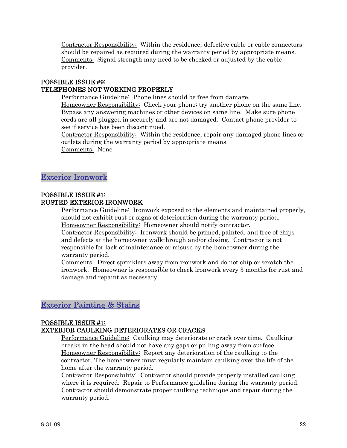<span id="page-21-0"></span>Contractor Responsibility: Within the residence, defective cable or cable connectors should be repaired as required during the warranty period by appropriate means. Comments: Signal strength may need to be checked or adjusted by the cable provider.

# POSSIBLE ISSUE #9: TELEPHONES NOT WORKING PROPERLY

Performance Guideline: Phone lines should be free from damage.

Homeowner Responsibility: Check your phone; try another phone on the same line. Bypass any answering machines or other devices on same line. Make sure phone cords are all plugged in securely and are not damaged. Contact phone provider to see if service has been discontinued.

Contractor Responsibility: Within the residence, repair any damaged phone lines or outlets during the warranty period by appropriate means. Comments: None

# Exterior Ironwork

# POSSIBLE ISSUE #1:

# RUSTED EXTERIOR IRONWORK

Performance Guideline: Ironwork exposed to the elements and maintained properly, should not exhibit rust or signs of deterioration during the warranty period. Homeowner Responsibility: Homeowner should notify contractor.

Contractor Responsibility: Ironwork should be primed, painted, and free of chips and defects at the homeowner walkthrough and/or closing. Contractor is not responsible for lack of maintenance or misuse by the homeowner during the warranty period.

Comments: Direct sprinklers away from ironwork and do not chip or scratch the ironwork. Homeowner is responsible to check ironwork every 3 months for rust and damage and repaint as necessary.

# Exterior Painting & Stains

# POSSIBLE ISSUE #1:

# EXTERIOR CAULKING DETERIORATES OR CRACKS

Performance Guideline: Caulking may deteriorate or crack over time. Caulking breaks in the bead should not have any gaps or pulling-away from surface. Homeowner Responsibility: Report any deterioration of the caulking to the contractor. The homeowner must regularly maintain caulking over the life of the home after the warranty period.

Contractor Responsibility: Contractor should provide properly installed caulking where it is required. Repair to Performance guideline during the warranty period. Contractor should demonstrate proper caulking technique and repair during the warranty period.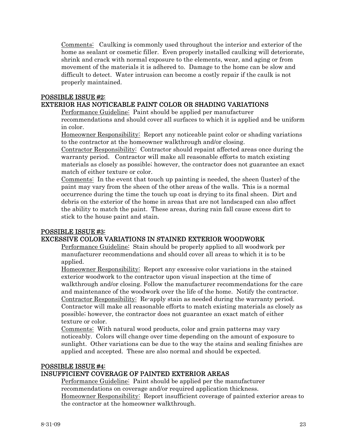Comments: Caulking is commonly used throughout the interior and exterior of the home as sealant or cosmetic filler. Even properly installed caulking will deteriorate, shrink and crack with normal exposure to the elements, wear, and aging or from movement of the materials it is adhered to. Damage to the home can be slow and difficult to detect. Water intrusion can become a costly repair if the caulk is not properly maintained.

# POSSIBLE ISSUE #2: EXTERIOR HAS NOTICEABLE PAINT COLOR OR SHADING VARIATIONS

Performance Guideline: Paint should be applied per manufacturer recommendations and should cover all surfaces to which it is applied and be uniform in color.

Homeowner Responsibility: Report any noticeable paint color or shading variations to the contractor at the homeowner walkthrough and/or closing.

Contractor Responsibility: Contractor should repaint affected areas once during the warranty period. Contractor will make all reasonable efforts to match existing materials as closely as possible; however, the contractor does not guarantee an exact match of either texture or color.

Comments: In the event that touch up painting is needed, the sheen (luster) of the paint may vary from the sheen of the other areas of the walls. This is a normal occurrence during the time the touch up coat is drying to its final sheen. Dirt and debris on the exterior of the home in areas that are not landscaped can also affect the ability to match the paint. These areas, during rain fall cause excess dirt to stick to the house paint and stain.

# POSSIBLE ISSUE #3:

# EXCESSIVE COLOR VARIATIONS IN STAINED EXTERIOR WOODWORK

Performance Guideline: Stain should be properly applied to all woodwork per manufacturer recommendations and should cover all areas to which it is to be applied.

Homeowner Responsibility: Report any excessive color variations in the stained exterior woodwork to the contractor upon visual inspection at the time of walkthrough and/or closing. Follow the manufacturer recommendations for the care and maintenance of the woodwork over the life of the home. Notify the contractor. Contractor Responsibility: Re-apply stain as needed during the warranty period. Contractor will make all reasonable efforts to match existing materials as closely as possible; however, the contractor does not guarantee an exact match of either texture or color.

Comments: With natural wood products, color and grain patterns may vary noticeably. Colors will change over time depending on the amount of exposure to sunlight. Other variations can be due to the way the stains and sealing finishes are applied and accepted. These are also normal and should be expected.

# POSSIBLE ISSUE #4:

# INSUFFICIENT COVERAGE OF PAINTED EXTERIOR AREAS

Performance Guideline: Paint should be applied per the manufacturer recommendations on coverage and/or required application thickness. Homeowner Responsibility: Report insufficient coverage of painted exterior areas to the contractor at the homeowner walkthrough.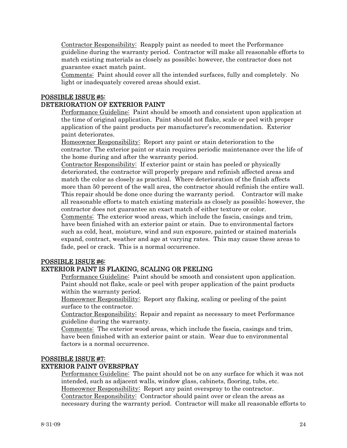Contractor Responsibility: Reapply paint as needed to meet the Performance guideline during the warranty period. Contractor will make all reasonable efforts to match existing materials as closely as possible; however, the contractor does not guarantee exact match paint.

Comments: Paint should cover all the intended surfaces, fully and completely. No light or inadequately covered areas should exist.

#### POSSIBLE ISSUE #5: DETERIORATION OF EXTERIOR PAINT

Performance Guideline: Paint should be smooth and consistent upon application at the time of original application. Paint should not flake, scale or peel with proper application of the paint products per manufacturer's recommendation. Exterior paint deteriorates.

Homeowner Responsibility: Report any paint or stain deterioration to the contractor. The exterior paint or stain requires periodic maintenance over the life of the home during and after the warranty period.

Contractor Responsibility: If exterior paint or stain has peeled or physically deteriorated, the contractor will properly prepare and refinish affected areas and match the color as closely as practical. Where deterioration of the finish affects more than 50 percent of the wall area, the contractor should refinish the entire wall. This repair should be done once during the warranty period. Contractor will make all reasonable efforts to match existing materials as closely as possible; however, the contractor does not guarantee an exact match of either texture or color.

Comments: The exterior wood areas, which include the fascia, casings and trim, have been finished with an exterior paint or stain. Due to environmental factors such as cold, heat, moisture, wind and sun exposure, painted or stained materials expand, contract, weather and age at varying rates. This may cause these areas to fade, peel or crack. This is a normal occurrence.

# POSSIBLE ISSUE #6:

# EXTERIOR PAINT IS FLAKING, SCALING OR PEELING

Performance Guideline: Paint should be smooth and consistent upon application. Paint should not flake, scale or peel with proper application of the paint products within the warranty period.

Homeowner Responsibility: Report any flaking, scaling or peeling of the paint surface to the contractor.

Contractor Responsibility: Repair and repaint as necessary to meet Performance guideline during the warranty.

Comments: The exterior wood areas, which include the fascia, casings and trim, have been finished with an exterior paint or stain. Wear due to environmental factors is a normal occurrence.

#### POSSIBLE ISSUE #7:

#### EXTERIOR PAINT OVERSPRAY

Performance Guideline: The paint should not be on any surface for which it was not intended, such as adjacent walls, window glass, cabinets, flooring, tubs, etc. Homeowner Responsibility: Report any paint overspray to the contractor. Contractor Responsibility: Contractor should paint over or clean the areas as necessary during the warranty period. Contractor will make all reasonable efforts to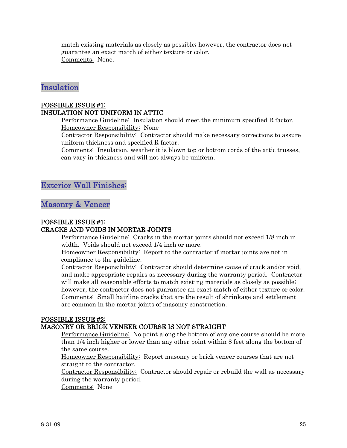<span id="page-24-0"></span>match existing materials as closely as possible; however, the contractor does not guarantee an exact match of either texture or color. Comments: None.

# Insulation

# POSSIBLE ISSUE #1: INSULATION NOT UNIFORM IN ATTIC

Performance Guideline: Insulation should meet the minimum specified R factor. Homeowner Responsibility: None

Contractor Responsibility: Contractor should make necessary corrections to assure uniform thickness and specified R factor.

Comments: Insulation, weather it is blown top or bottom cords of the attic trusses, can vary in thickness and will not always be uniform.

# Exterior Wall Finishes:

Masonry & Veneer

# POSSIBLE ISSUE #1:

# CRACKS AND VOIDS IN MORTAR JOINTS

Performance Guideline: Cracks in the mortar joints should not exceed 1/8 inch in width. Voids should not exceed 1/4 inch or more.

Homeowner Responsibility: Report to the contractor if mortar joints are not in compliance to the guideline.

Contractor Responsibility: Contractor should determine cause of crack and/or void, and make appropriate repairs as necessary during the warranty period. Contractor will make all reasonable efforts to match existing materials as closely as possible; however, the contractor does not guarantee an exact match of either texture or color. Comments: Small hairline cracks that are the result of shrinkage and settlement are common in the mortar joints of masonry construction.

# POSSIBLE ISSUE #2:

# MASONRY OR BRICK VENEER COURSE IS NOT STRAIGHT

Performance Guideline: No point along the bottom of any one course should be more than 1/4 inch higher or lower than any other point within 8 feet along the bottom of the same course.

Homeowner Responsibility: Report masonry or brick veneer courses that are not straight to the contractor.

Contractor Responsibility: Contractor should repair or rebuild the wall as necessary during the warranty period.

Comments: None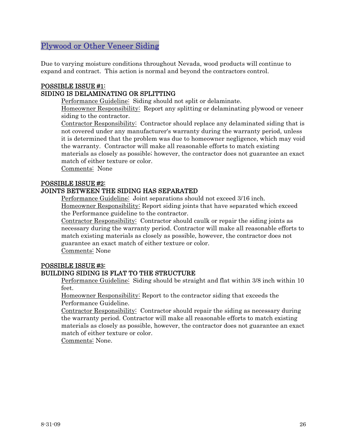# <span id="page-25-0"></span>Plywood or Other Veneer Siding

Due to varying moisture conditions throughout Nevada, wood products will continue to expand and contract. This action is normal and beyond the contractors control.

# POSSIBLE ISSUE #1: SIDING IS DELAMINATING OR SPLITTING

Performance Guideline: Siding should not split or delaminate.

Homeowner Responsibility: Report any splitting or delaminating plywood or veneer siding to the contractor.

Contractor Responsibility: Contractor should replace any delaminated siding that is not covered under any manufacturer's warranty during the warranty period, unless it is determined that the problem was due to homeowner negligence, which may void the warranty. Contractor will make all reasonable efforts to match existing materials as closely as possible; however, the contractor does not guarantee an exact match of either texture or color.

Comments: None

# POSSIBLE ISSUE #2:

# JOINTS BETWEEN THE SIDING HAS SEPARATED

Performance Guideline: Joint separations should not exceed 3/16 inch. Homeowner Responsibility: Report siding joints that have separated which exceed the Performance guideline to the contractor.

Contractor Responsibility: Contractor should caulk or repair the siding joints as necessary during the warranty period. Contractor will make all reasonable efforts to match existing materials as closely as possible, however, the contractor does not guarantee an exact match of either texture or color.

Comments: None

#### POSSIBLE ISSUE #3: BUILDING SIDING IS FLAT TO THE STRUCTURE

Performance Guideline: Siding should be straight and flat within 3/8 inch within 10 feet.

Homeowner Responsibility: Report to the contractor siding that exceeds the Performance Guideline.

Contractor Responsibility: Contractor should repair the siding as necessary during the warranty period. Contractor will make all reasonable efforts to match existing materials as closely as possible, however, the contractor does not guarantee an exact match of either texture or color.

Comments: None.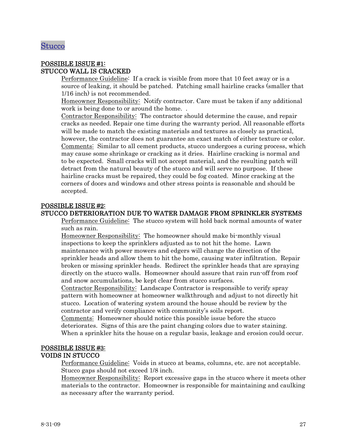# <span id="page-26-0"></span>Stucco

#### POSSIBLE ISSUE #1: STUCCO WALL IS CRACKED

Performance Guideline: If a crack is visible from more that 10 feet away or is a source of leaking, it should be patched. Patching small hairline cracks (smaller that 1/16 inch) is not recommended.

Homeowner Responsibility: Notify contractor. Care must be taken if any additional work is being done to or around the home. .

Contractor Responsibility: The contractor should determine the cause, and repair cracks as needed. Repair one time during the warranty period. All reasonable efforts will be made to match the existing materials and textures as closely as practical, however, the contractor does not guarantee an exact match of either texture or color. Comments: Similar to all cement products, stucco undergoes a curing process, which may cause some shrinkage or cracking as it dries. Hairline cracking is normal and to be expected. Small cracks will not accept material, and the resulting patch will detract from the natural beauty of the stucco and will serve no purpose. If these hairline cracks must be repaired, they could be fog coated. Minor cracking at the corners of doors and windows and other stress points is reasonable and should be accepted.

#### POSSIBLE ISSUE #2:

#### STUCCO DETERIORATION DUE TO WATER DAMAGE FROM SPRINKLER SYSTEMS

Performance Guideline: The stucco system will hold back normal amounts of water such as rain.

Homeowner Responsibility: The homeowner should make bi-monthly visual inspections to keep the sprinklers adjusted as to not hit the home. Lawn maintenance with power mowers and edgers will change the direction of the sprinkler heads and allow them to hit the home, causing water infiltration. Repair broken or missing sprinkler heads. Redirect the sprinkler heads that are spraying directly on the stucco walls. Homeowner should assure that rain run-off from roof and snow accumulations, be kept clear from stucco surfaces.

Contractor Responsibility: Landscape Contractor is responsible to verify spray pattern with homeowner at homeowner walkthrough and adjust to not directly hit stucco. Location of watering system around the house should be review by the contractor and verify compliance with community's soils report.

Comments: Homeowner should notice this possible issue before the stucco deteriorates. Signs of this are the paint changing colors due to water staining. When a sprinkler hits the house on a regular basis, leakage and erosion could occur.

# POSSIBLE ISSUE #3: VOIDS IN STUCCO

Performance Guideline: Voids in stucco at beams, columns, etc. are not acceptable. Stucco gaps should not exceed 1/8 inch.

Homeowner Responsibility: Report excessive gaps in the stucco where it meets other materials to the contractor. Homeowner is responsible for maintaining and caulking as necessary after the warranty period.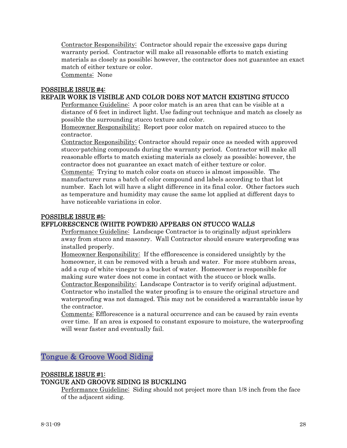<span id="page-27-0"></span>Contractor Responsibility: Contractor should repair the excessive gaps during warranty period. Contractor will make all reasonable efforts to match existing materials as closely as possible; however, the contractor does not guarantee an exact match of either texture or color.

Comments: None

#### POSSIBLE ISSUE #4:

# REPAIR WORK IS VISIBLE AND COLOR DOES NOT MATCH EXISTING STUCCO

Performance Guideline: A poor color match is an area that can be visible at a distance of 6 feet in indirect light. Use fading-out technique and match as closely as possible the surrounding stucco texture and color.

Homeowner Responsibility: Report poor color match on repaired stucco to the contractor.

Contractor Responsibility: Contractor should repair once as needed with approved stucco-patching compounds during the warranty period. Contractor will make all reasonable efforts to match existing materials as closely as possible; however, the contractor does not guarantee an exact match of either texture or color.

Comments: Trying to match color coats on stucco is almost impossible. The manufacturer runs a batch of color compound and labels according to that lot number. Each lot will have a slight difference in its final color. Other factors such as temperature and humidity may cause the same lot applied at different days to have noticeable variations in color.

#### POSSIBLE ISSUE #5:

# EFFLORESCENCE (WHITE POWDER) APPEARS ON STUCCO WALLS

Performance Guideline: Landscape Contractor is to originally adjust sprinklers away from stucco and masonry. Wall Contractor should ensure waterproofing was installed properly.

Homeowner Responsibility: If the efflorescence is considered unsightly by the homeowner, it can be removed with a brush and water. For more stubborn areas, add a cup of white vinegar to a bucket of water. Homeowner is responsible for making sure water does not come in contact with the stucco or block walls.

Contractor Responsibility: Landscape Contractor is to verify original adjustment. Contractor who installed the water proofing is to ensure the original structure and waterproofing was not damaged. This may not be considered a warrantable issue by the contractor.

Comments: Efflorescence is a natural occurrence and can be caused by rain events over time. If an area is exposed to constant exposure to moisture, the waterproofing will wear faster and eventually fail.

Tongue & Groove Wood Siding

# POSSIBLE ISSUE #1: TONGUE AND GROOVE SIDING IS BUCKLING

Performance Guideline: Siding should not project more than 1/8 inch from the face of the adjacent siding.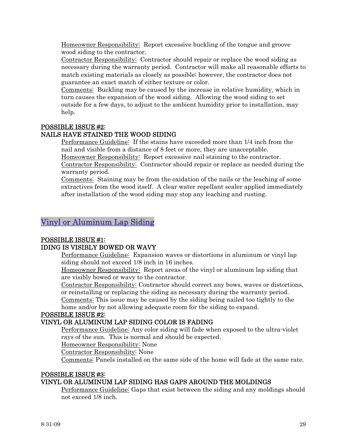<span id="page-28-0"></span>Homeowner Responsibility: Report excessive buckling of the tongue and groove wood siding to the contractor.

Contractor Responsibility: Contractor should repair or replace the wood siding as necessary during the warranty period. Contractor will make all reasonable efforts to match existing materials as closely as possible; however, the contractor does not guarantee an exact match of either texture or color.

Comments: Buckling may be caused by the increase in relative humidity, which in turn causes the expansion of the wood siding. Allowing the wood siding to set outside for a few days, to adjust to the ambient humidity prior to installation, may help.

# POSSIBLE ISSUE #2:

# NAILS HAVE STAINED THE WOOD SIDING

Performance Guideline: If the stains have exceeded more than 1/4 inch from the nail and visible from a distance of 8 feet or more, they are unacceptable. Homeowner Responsibility: Report excessive nail staining to the contractor.

Contractor Responsibility: Contractor should repair or replace as needed during the warranty period.

Comments: Staining may be from the oxidation of the nails or the leaching of some extractives from the wood itself. A clear water repellant sealer applied immediately after installation of the wood siding may stop any leaching and rusting.

# Vinyl or Aluminum Lap Siding

# POSSIBLE ISSUE #1:

# IDING IS VISIBLY BOWED OR WAVY

Performance Guideline: Expansion waves or distortions in aluminum or vinyl lap siding should not exceed 1/8 inch in 16 inches.

Homeowner Responsibility: Report areas of the vinyl or aluminum lap siding that are visibly bowed or wavy to the contractor.

Contractor Responsibility: Contractor should correct any bows, waves or distortions, or reinstalling or replacing the siding as necessary during the warranty period.

Comments: This issue may be caused by the siding being nailed too tightly to the home and/or by not allowing adequate room for the siding to expand.

# POSSIBLE ISSUE #2:

# VINYL OR ALUMINUM LAP SIDING COLOR IS FADING

Performance Guideline: Any color siding will fade when exposed to the ultra-violet rays of the sun. This is normal and should be expected.

Homeowner Responsibility: None

Contractor Responsibility: None

Comments: Panels installed on the same side of the home will fade at the same rate.

#### POSSIBLE ISSUE #3:

# VINYL OR ALUMINUM LAP SIDING HAS GAPS AROUND THE MOLDINGS

Performance Guideline: Gaps that exist between the siding and any moldings should not exceed 1/8 inch.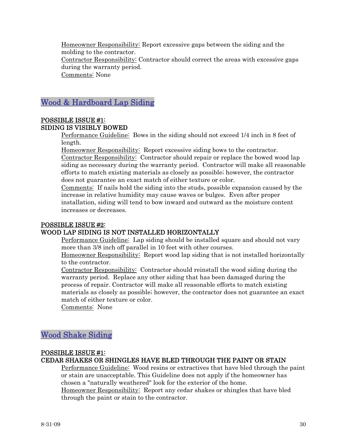<span id="page-29-0"></span>Homeowner Responsibility: Report excessive gaps between the siding and the molding to the contractor. Contractor Responsibility: Contractor should correct the areas with excessive gaps during the warranty period. Comments: None

# Wood & Hardboard Lap Siding

# POSSIBLE ISSUE #1: SIDING IS VISIBLY BOWED

Performance Guideline: Bows in the siding should not exceed 1/4 inch in 8 feet of length.

Homeowner Responsibility: Report excessive siding bows to the contractor. Contractor Responsibility: Contractor should repair or replace the bowed wood lap siding as necessary during the warranty period. Contractor will make all reasonable efforts to match existing materials as closely as possible; however, the contractor does not guarantee an exact match of either texture or color.

Comments: If nails hold the siding into the studs, possible expansion caused by the increase in relative humidity may cause waves or bulges. Even after proper installation, siding will tend to bow inward and outward as the moisture content increases or decreases.

# POSSIBLE ISSUE #2:

# WOOD LAP SIDING IS NOT INSTALLED HORIZONTALLY

Performance Guideline: Lap siding should be installed square and should not vary more than 3/8 inch off parallel in 10 feet with other courses.

Homeowner Responsibility: Report wood lap siding that is not installed horizontally to the contractor.

Contractor Responsibility: Contractor should reinstall the wood siding during the warranty period. Replace any other siding that has been damaged during the process of repair. Contractor will make all reasonable efforts to match existing materials as closely as possible; however, the contractor does not guarantee an exact match of either texture or color.

Comments: None

# Wood Shake Siding

# POSSIBLE ISSUE #1: CEDAR SHAKES OR SHINGLES HAVE BLED THROUGH THE PAINT OR STAIN

Performance Guideline: Wood resins or extractives that have bled through the paint or stain are unacceptable. This Guideline does not apply if the homeowner has chosen a "naturally weathered" look for the exterior of the home. Homeowner Responsibility: Report any cedar shakes or shingles that have bled

through the paint or stain to the contractor.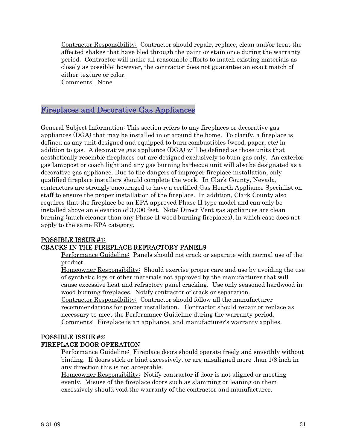<span id="page-30-0"></span>Contractor Responsibility: Contractor should repair, replace, clean and/or treat the affected shakes that have bled through the paint or stain once during the warranty period. Contractor will make all reasonable efforts to match existing materials as closely as possible; however, the contractor does not guarantee an exact match of either texture or color.

Comments: None

# Fireplaces and Decorative Gas Appliances

General Subject Information: This section refers to any fireplaces or decorative gas appliances (DGA) that may be installed in or around the home. To clarify, a fireplace is defined as any unit designed and equipped to burn combustibles (wood, paper, etc) in addition to gas. A decorative gas appliance (DGA) will be defined as those units that aesthetically resemble fireplaces but are designed exclusively to burn gas only. An exterior gas lamppost or coach light and any gas burning barbecue unit will also be designated as a decorative gas appliance. Due to the dangers of improper fireplace installation, only qualified fireplace installers should complete the work. In Clark County, Nevada, contractors are strongly encouraged to have a certified Gas Hearth Appliance Specialist on staff to ensure the proper installation of the fireplace. In addition, Clark County also requires that the fireplace be an EPA approved Phase II type model and can only be installed above an elevation of 3,000 feet. Note: Direct Vent gas appliances are clean burning (much cleaner than any Phase II wood burning fireplaces), in which case does not apply to the same EPA category.

# POSSIBLE ISSUE #1:

# CRACKS IN THE FIREPLACE REFRACTORY PANELS

Performance Guideline: Panels should not crack or separate with normal use of the product.

Homeowner Responsibility: Should exercise proper care and use by avoiding the use of synthetic logs or other materials not approved by the manufacturer that will cause excessive heat and refractory panel cracking. Use only seasoned hardwood in wood burning fireplaces. Notify contractor of crack or separation.

Contractor Responsibility: Contractor should follow all the manufacturer recommendations for proper installation. Contractor should repair or replace as necessary to meet the Performance Guideline during the warranty period. Comments: Fireplace is an appliance, and manufacturer's warranty applies.

# POSSIBLE ISSUE #2:

# FIREPLACE DOOR OPERATION

Performance Guideline: Fireplace doors should operate freely and smoothly without binding. If doors stick or bind excessively, or are misaligned more than 1/8 inch in any direction this is not acceptable.

Homeowner Responsibility: Notify contractor if door is not aligned or meeting evenly. Misuse of the fireplace doors such as slamming or leaning on them excessively should void the warranty of the contractor and manufacturer.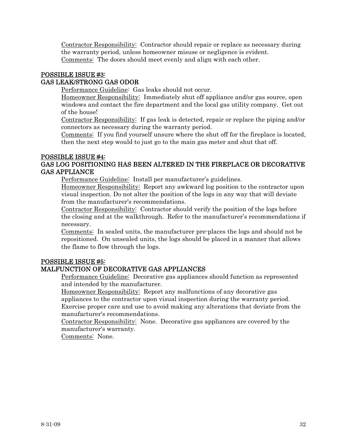Contractor Responsibility: Contractor should repair or replace as necessary during the warranty period, unless homeowner misuse or negligence is evident. Comments: The doors should meet evenly and align with each other.

# POSSIBLE ISSUE #3: GAS LEAK/STRONG GAS ODOR

Performance Guideline: Gas leaks should not occur.

Homeowner Responsibility: Immediately shut off appliance and/or gas source, open windows and contact the fire department and the local gas utility company. Get out of the house!

Contractor Responsibility: If gas leak is detected, repair or replace the piping and/or connectors as necessary during the warranty period.

Comments: If you find yourself unsure where the shut off for the fireplace is located, then the next step would to just go to the main gas meter and shut that off.

#### POSSIBLE ISSUE #4: GAS LOG POSITIONING HAS BEEN ALTERED IN THE FIREPLACE OR DECORATIVE GAS APPLIANCE

Performance Guideline: Install per manufacturer's guidelines.

Homeowner Responsibility: Report any awkward log position to the contractor upon visual inspection. Do not alter the position of the logs in any way that will deviate from the manufacturer's recommendations.

Contractor Responsibility: Contractor should verify the position of the logs before the closing and at the walkthrough. Refer to the manufacturer's recommendations if necessary.

Comments: In sealed units, the manufacturer pre-places the logs and should not be repositioned. On unsealed units, the logs should be placed in a manner that allows the flame to flow through the logs.

# POSSIBLE ISSUE #5:

# MALFUNCTION OF DECORATIVE GAS APPLIANCES

Performance Guideline: Decorative gas appliances should function as represented and intended by the manufacturer.

Homeowner Responsibility: Report any malfunctions of any decorative gas appliances to the contractor upon visual inspection during the warranty period. Exercise proper care and use to avoid making any alterations that deviate from the manufacturer's recommendations.

Contractor Responsibility: None. Decorative gas appliances are covered by the manufacturer's warranty.

Comments: None.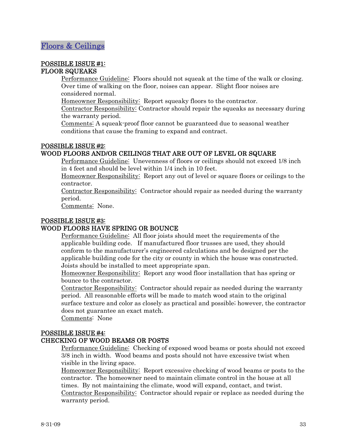#### <span id="page-32-0"></span>POSSIBLE ISSUE #1: FLOOR SQUEAKS

Performance Guideline: Floors should not squeak at the time of the walk or closing. Over time of walking on the floor, noises can appear. Slight floor noises are considered normal.

Homeowner Responsibility: Report squeaky floors to the contractor.

Contractor Responsibility: Contractor should repair the squeaks as necessary during the warranty period.

Comments: A squeak-proof floor cannot be guaranteed due to seasonal weather conditions that cause the framing to expand and contract.

# POSSIBLE ISSUE #2:

# WOOD FLOORS AND/OR CEILINGS THAT ARE OUT OF LEVEL OR SQUARE

Performance Guideline: Unevenness of floors or ceilings should not exceed 1/8 inch in 4 feet and should be level within 1/4 inch in 10 feet.

Homeowner Responsibility: Report any out of level or square floors or ceilings to the contractor.

Contractor Responsibility: Contractor should repair as needed during the warranty period.

Comments: None.

# POSSIBLE ISSUE #3:

# WOOD FLOORS HAVE SPRING OR BOUNCE

Performance Guideline: All floor joists should meet the requirements of the applicable building code. If manufactured floor trusses are used, they should conform to the manufacturer's engineered calculations and be designed per the applicable building code for the city or county in which the house was constructed. Joists should be installed to meet appropriate span.

Homeowner Responsibility: Report any wood floor installation that has spring or bounce to the contractor.

Contractor Responsibility: Contractor should repair as needed during the warranty period. All reasonable efforts will be made to match wood stain to the original surface texture and color as closely as practical and possible; however, the contractor does not guarantee an exact match.

Comments: None

warranty period.

# POSSIBLE ISSUE #4:

# CHECKING OF WOOD BEAMS OR POSTS

Performance Guideline: Checking of exposed wood beams or posts should not exceed 3/8 inch in width. Wood beams and posts should not have excessive twist when visible in the living space.

Homeowner Responsibility: Report excessive checking of wood beams or posts to the contractor. The homeowner need to maintain climate control in the house at all times. By not maintaining the climate, wood will expand, contact, and twist. Contractor Responsibility: Contractor should repair or replace as needed during the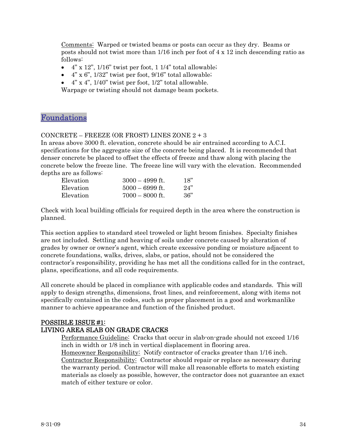<span id="page-33-0"></span>Comments: Warped or twisted beams or posts can occur as they dry. Beams or posts should not twist more than 1/16 inch per foot of 4 x 12 inch descending ratio as follows:

- $4"$  x 12", 1/16" twist per foot, 1 1/4" total allowable;
- $4$ " x 6",  $1/32$ " twist per foot,  $9/16$ " total allowable;
- $4$ " x  $4$ ",  $1/40$ " twist per foot,  $1/2$ " total allowable.

Warpage or twisting should not damage beam pockets.

# Foundations

# CONCRETE – FREEZE (OR FROST) LINES ZONE  $2 + 3$

In areas above 3000 ft. elevation, concrete should be air entrained according to A.C.I. specifications for the aggregate size of the concrete being placed. It is recommended that denser concrete be placed to offset the effects of freeze and thaw along with placing the concrete below the freeze line. The freeze line will vary with the elevation. Recommended depths are as follows:

| Elevation | $3000 - 4999$ ft. | 18" |
|-----------|-------------------|-----|
| Elevation | $5000 - 6999$ ft. | 24" |
| Elevation | $7000 - 8000$ ft. | 36" |

Check with local building officials for required depth in the area where the construction is planned.

This section applies to standard steel troweled or light broom finishes. Specialty finishes are not included. Settling and heaving of soils under concrete caused by alteration of grades by owner or owner's agent, which create excessive ponding or moisture adjacent to concrete foundations, walks, drives, slabs, or patios, should not be considered the contractor's responsibility, providing he has met all the conditions called for in the contract, plans, specifications, and all code requirements.

All concrete should be placed in compliance with applicable codes and standards. This will apply to design strengths, dimensions, frost lines, and reinforcement, along with items not specifically contained in the codes, such as proper placement in a good and workmanlike manner to achieve appearance and function of the finished product.

# POSSIBLE ISSUE #1: LIVING AREA SLAB ON GRADE CRACKS

Performance Guideline: Cracks that occur in slab-on-grade should not exceed 1/16 inch in width or 1/8 inch in vertical displacement in flooring area.

Homeowner Responsibility: Notify contractor of cracks greater than 1/16 inch. Contractor Responsibility: Contractor should repair or replace as necessary during the warranty period. Contractor will make all reasonable efforts to match existing materials as closely as possible, however, the contractor does not guarantee an exact match of either texture or color.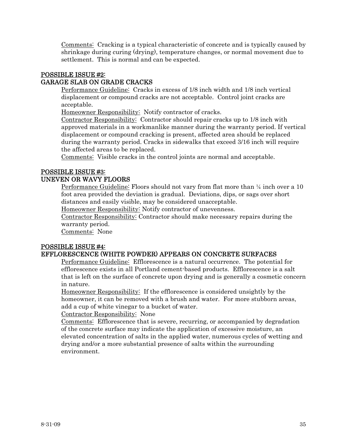Comments: Cracking is a typical characteristic of concrete and is typically caused by shrinkage during curing (drying), temperature changes, or normal movement due to settlement. This is normal and can be expected.

# POSSIBLE ISSUE #2: GARAGE SLAB ON GRADE CRACKS

Performance Guideline: Cracks in excess of 1/8 inch width and 1/8 inch vertical displacement or compound cracks are not acceptable. Control joint cracks are acceptable.

Homeowner Responsibility: Notify contractor of cracks.

Contractor Responsibility: Contractor should repair cracks up to 1/8 inch with approved materials in a workmanlike manner during the warranty period. If vertical displacement or compound cracking is present, affected area should be replaced during the warranty period. Cracks in sidewalks that exceed 3/16 inch will require the affected areas to be replaced.

Comments: Visible cracks in the control joints are normal and acceptable.

# POSSIBLE ISSUE #3:

# UNEVEN OR WAVY FLOORS

Performance Guideline: Floors should not vary from flat more than  $\frac{1}{4}$  inch over a 10 foot area provided the deviation is gradual. Deviations, dips, or sags over short distances and easily visible, may be considered unacceptable.

Homeowner Responsibility: Notify contractor of unevenness.

Contractor Responsibility: Contractor should make necessary repairs during the warranty period.

Comments: None

# POSSIBLE ISSUE #4:

# EFFLORESCENCE (WHITE POWDER) APPEARS ON CONCRETE SURFACES

Performance Guideline: Efflorescence is a natural occurrence. The potential for efflorescence exists in all Portland cement-based products. Efflorescence is a salt that is left on the surface of concrete upon drying and is generally a cosmetic concern in nature.

Homeowner Responsibility: If the efflorescence is considered unsightly by the homeowner, it can be removed with a brush and water. For more stubborn areas, add a cup of white vinegar to a bucket of water.

Contractor Responsibility: None

Comments: Efflorescence that is severe, recurring, or accompanied by degradation of the concrete surface may indicate the application of excessive moisture, an elevated concentration of salts in the applied water, numerous cycles of wetting and drying and/or a more substantial presence of salts within the surrounding environment.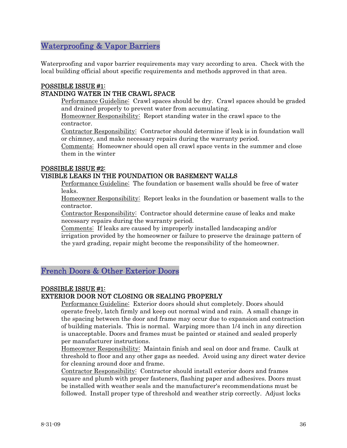# <span id="page-35-0"></span>Waterproofing & Vapor Barriers

Waterproofing and vapor barrier requirements may vary according to area. Check with the local building official about specific requirements and methods approved in that area.

# POSSIBLE ISSUE #1:

# STANDING WATER IN THE CRAWL SPACE

Performance Guideline: Crawl spaces should be dry. Crawl spaces should be graded and drained properly to prevent water from accumulating.

Homeowner Responsibility: Report standing water in the crawl space to the contractor.

Contractor Responsibility: Contractor should determine if leak is in foundation wall or chimney, and make necessary repairs during the warranty period.

Comments: Homeowner should open all crawl space vents in the summer and close them in the winter

#### POSSIBLE ISSUE #2:

# VISIBLE LEAKS IN THE FOUNDATION OR BASEMENT WALLS

Performance Guideline: The foundation or basement walls should be free of water leaks.

Homeowner Responsibility: Report leaks in the foundation or basement walls to the contractor.

Contractor Responsibility: Contractor should determine cause of leaks and make necessary repairs during the warranty period.

Comments: If leaks are caused by improperly installed landscaping and/or irrigation provided by the homeowner or failure to preserve the drainage pattern of the yard grading, repair might become the responsibility of the homeowner.

# French Doors & Other Exterior Doors

# POSSIBLE ISSUE #1:

# EXTERIOR DOOR NOT CLOSING OR SEALING PROPERLY

Performance Guideline: Exterior doors should shut completely. Doors should operate freely, latch firmly and keep out normal wind and rain. A small change in the spacing between the door and frame may occur due to expansion and contraction of building materials. This is normal. Warping more than 1/4 inch in any direction is unacceptable. Doors and frames must be painted or stained and sealed properly per manufacturer instructions.

Homeowner Responsibility: Maintain finish and seal on door and frame. Caulk at threshold to floor and any other gaps as needed. Avoid using any direct water device for cleaning around door and frame.

Contractor Responsibility: Contractor should install exterior doors and frames square and plumb with proper fasteners, flashing paper and adhesives. Doors must be installed with weather seals and the manufacturer's recommendations must be followed. Install proper type of threshold and weather strip correctly. Adjust locks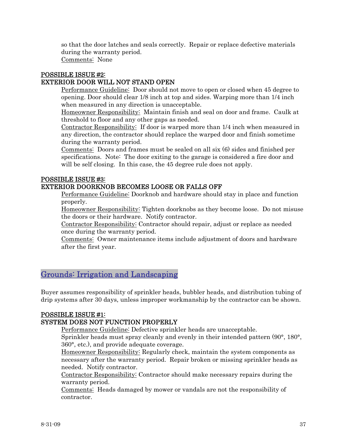<span id="page-36-0"></span>so that the door latches and seals correctly. Repair or replace defective materials during the warranty period.

Comments: None

# POSSIBLE ISSUE #2:

# EXTERIOR DOOR WILL NOT STAND OPEN

Performance Guideline: Door should not move to open or closed when 45 degree to opening. Door should clear 1/8 inch at top and sides. Warping more than 1/4 inch when measured in any direction is unacceptable.

Homeowner Responsibility: Maintain finish and seal on door and frame. Caulk at threshold to floor and any other gaps as needed.

Contractor Responsibility: If door is warped more than 1/4 inch when measured in any direction, the contractor should replace the warped door and finish sometime during the warranty period.

Comments: Doors and frames must be sealed on all six (6) sides and finished per specifications. Note: The door exiting to the garage is considered a fire door and will be self closing. In this case, the 45 degree rule does not apply.

#### POSSIBLE ISSUE #3:

# EXTERIOR DOORKNOB BECOMES LOOSE OR FALLS OFF

Performance Guideline: Doorknob and hardware should stay in place and function properly.

Homeowner Responsibility: Tighten doorknobs as they become loose. Do not misuse the doors or their hardware. Notify contractor.

Contractor Responsibility: Contractor should repair, adjust or replace as needed once during the warranty period.

Comments: Owner maintenance items include adjustment of doors and hardware after the first year.

# Grounds: Irrigation and Landscaping

Buyer assumes responsibility of sprinkler heads, bubbler heads, and distribution tubing of drip systems after 30 days, unless improper workmanship by the contractor can be shown.

# POSSIBLE ISSUE #1:

# SYSTEM DOES NOT FUNCTION PROPERLY

Performance Guideline: Defective sprinkler heads are unacceptable.

Sprinkler heads must spray cleanly and evenly in their intended pattern (90°, 180°, 360°, etc.), and provide adequate coverage.

Homeowner Responsibility: Regularly check, maintain the system components as necessary after the warranty period. Repair broken or missing sprinkler heads as needed. Notify contractor.

Contractor Responsibility: Contractor should make necessary repairs during the warranty period.

Comments: Heads damaged by mower or vandals are not the responsibility of contractor.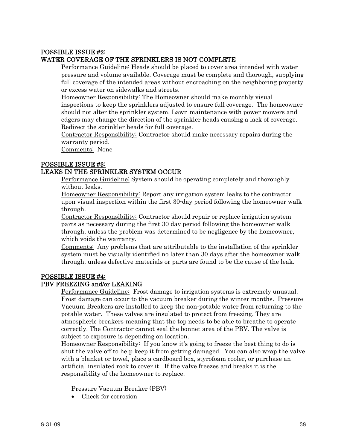# POSSIBLE ISSUE #2:

#### WATER COVERAGE OF THE SPRINKLERS IS NOT COMPLETE

Performance Guideline: Heads should be placed to cover area intended with water pressure and volume available. Coverage must be complete and thorough, supplying full coverage of the intended areas without encroaching on the neighboring property or excess water on sidewalks and streets.

Homeowner Responsibility: The Homeowner should make monthly visual inspections to keep the sprinklers adjusted to ensure full coverage. The homeowner should not alter the sprinkler system. Lawn maintenance with power mowers and edgers may change the direction of the sprinkler heads causing a lack of coverage. Redirect the sprinkler heads for full coverage.

Contractor Responsibility: Contractor should make necessary repairs during the warranty period.

Comments: None

#### POSSIBLE ISSUE #3:

# LEAKS IN THE SPRINKLER SYSTEM OCCUR

Performance Guideline: System should be operating completely and thoroughly without leaks.

Homeowner Responsibility: Report any irrigation system leaks to the contractor upon visual inspection within the first 30-day period following the homeowner walk through.

Contractor Responsibility: Contractor should repair or replace irrigation system parts as necessary during the first 30 day period following the homeowner walk through, unless the problem was determined to be negligence by the homeowner, which voids the warranty.

Comments: Any problems that are attributable to the installation of the sprinkler system must be visually identified no later than 30 days after the homeowner walk through, unless defective materials or parts are found to be the cause of the leak.

#### POSSIBLE ISSUE #4:

#### PBV FREEZING and/or LEAKING

Performance Guideline: Frost damage to irrigation systems is extremely unusual. Frost damage can occur to the vacuum breaker during the winter months. Pressure Vacuum Breakers are installed to keep the non-potable water from returning to the potable water. These valves are insulated to protect from freezing. They are atmospheric breakers-meaning that the top needs to be able to breathe to operate correctly. The Contractor cannot seal the bonnet area of the PBV. The valve is subject to exposure is depending on location.

Homeowner Responsibility: If you know it's going to freeze the best thing to do is shut the valve off to help keep it from getting damaged. You can also wrap the valve with a blanket or towel, place a cardboard box, styrofoam cooler, or purchase an artificial insulated rock to cover it. If the valve freezes and breaks it is the responsibility of the homeowner to replace.

Pressure Vacuum Breaker (PBV)

• Check for corrosion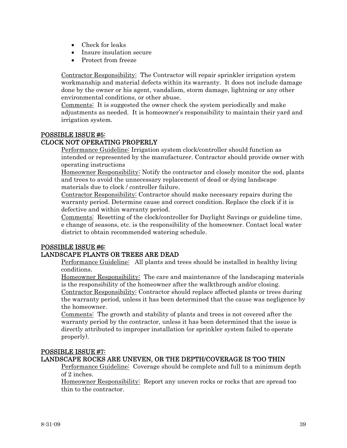- Check for leaks
- Insure insulation secure
- Protect from freeze

Contractor Responsibility: The Contractor will repair sprinkler irrigation system workmanship and material defects within its warranty. It does not include damage done by the owner or his agent, vandalism, storm damage, lightning or any other environmental conditions, or other abuse.

Comments: It is suggested the owner check the system periodically and make adjustments as needed. It is homeowner's responsibility to maintain their yard and irrigation system.

# POSSIBLE ISSUE #5:

# CLOCK NOT OPERATING PROPERLY

Performance Guideline: Irrigation system clock/controller should function as intended or represented by the manufacturer. Contractor should provide owner with operating instructions

Homeowner Responsibility: Notify the contractor and closely monitor the sod, plants and trees to avoid the unnecessary replacement of dead or dying landscape materials due to clock / controller failure.

Contractor Responsibility: Contractor should make necessary repairs during the warranty period. Determine cause and correct condition. Replace the clock if it is defective and within warranty period.

Comments: Resetting of the clock/controller for Daylight Savings or guideline time, e change of seasons, etc. is the responsibility of the homeowner. Contact local water district to obtain recommended watering schedule.

# POSSIBLE ISSUE #6:

# LANDSCAPE PLANTS OR TREES ARE DEAD

Performance Guideline: All plants and trees should be installed in healthy living conditions.

Homeowner Responsibility: The care and maintenance of the landscaping materials is the responsibility of the homeowner after the walkthrough and/or closing.

Contractor Responsibility: Contractor should replace affected plants or trees during the warranty period, unless it has been determined that the cause was negligence by the homeowner.

Comments: The growth and stability of plants and trees is not covered after the warranty period by the contractor, unless it has been determined that the issue is directly attributed to improper installation (or sprinkler system failed to operate properly).

# POSSIBLE ISSUE #7:

# LANDSCAPE ROCKS ARE UNEVEN, OR THE DEPTH/COVERAGE IS TOO THIN

Performance Guideline: Coverage should be complete and full to a minimum depth of 2 inches.

Homeowner Responsibility: Report any uneven rocks or rocks that are spread too thin to the contractor.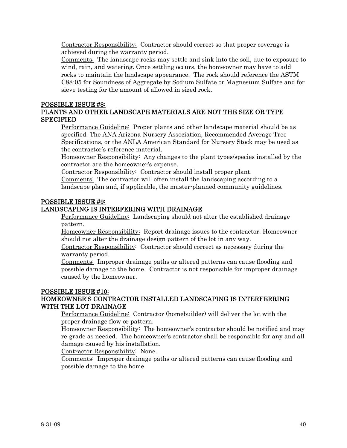Contractor Responsibility: Contractor should correct so that proper coverage is achieved during the warranty period.

Comments: The landscape rocks may settle and sink into the soil, due to exposure to wind, rain, and watering. Once settling occurs, the homeowner may have to add rocks to maintain the landscape appearance. The rock should reference the ASTM C88-05 for Soundness of Aggregate by Sodium Sulfate or Magnesium Sulfate and for sieve testing for the amount of allowed in sized rock.

#### POSSIBLE ISSUE #8:

# PLANTS AND OTHER LANDSCAPE MATERIALS ARE NOT THE SIZE OR TYPE **SPECIFIED**

Performance Guideline: Proper plants and other landscape material should be as specified. The ANA Arizona Nursery Association, Recommended Average Tree Specifications, or the ANLA American Standard for Nursery Stock may be used as the contractor's reference material.

Homeowner Responsibility: Any changes to the plant types/species installed by the contractor are the homeowner's expense.

Contractor Responsibility: Contractor should install proper plant.

Comments: The contractor will often install the landscaping according to a landscape plan and, if applicable, the master-planned community guidelines.

#### POSSIBLE ISSUE #9:

# LANDSCAPING IS INTERFERING WITH DRAINAGE

Performance Guideline: Landscaping should not alter the established drainage pattern.

Homeowner Responsibility: Report drainage issues to the contractor. Homeowner should not alter the drainage design pattern of the lot in any way.

Contractor Responsibility: Contractor should correct as necessary during the warranty period.

Comments: Improper drainage paths or altered patterns can cause flooding and possible damage to the home. Contractor is not responsible for improper drainage caused by the homeowner.

#### POSSIBLE ISSUE #10:

# HOMEOWNER'S CONTRACTOR INSTALLED LANDSCAPING IS INTERFERRING WITH THE LOT DRAINAGE

Performance Guideline: Contractor (homebuilder) will deliver the lot with the proper drainage flow or pattern.

Homeowner Responsibility: The homeowner's contractor should be notified and may re-grade as needed. The homeowner's contractor shall be responsible for any and all damage caused by his installation.

Contractor Responsibility: None.

Comments: Improper drainage paths or altered patterns can cause flooding and possible damage to the home.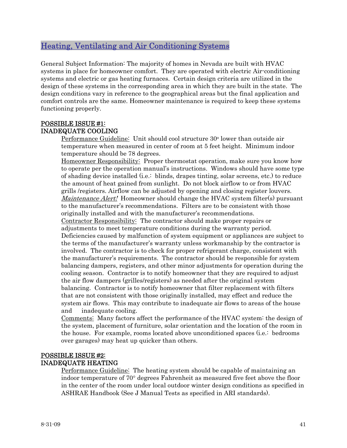# <span id="page-40-0"></span>Heating, Ventilating and Air Conditioning Systems

General Subject Information: The majority of homes in Nevada are built with HVAC systems in place for homeowner comfort. They are operated with electric Air-conditioning systems and electric or gas heating furnaces. Certain design criteria are utilized in the design of these systems in the corresponding area in which they are built in the state. The design conditions vary in reference to the geographical areas but the final application and comfort controls are the same. Homeowner maintenance is required to keep these systems functioning properly.

# POSSIBLE ISSUE #1: INADEQUATE COOLING

Performance Guideline: Unit should cool structure 30<sup>o</sup> lower than outside air temperature when measured in center of room at 5 feet height. Minimum indoor temperature should be 78 degrees.

Homeowner Responsibility: Proper thermostat operation, make sure you know how to operate per the operation manual's instructions. Windows should have some type of shading device installed (i.e.: blinds, drapes tinting, solar screens, etc.) to reduce the amount of heat gained from sunlight. Do not block airflow to or from HVAC grills /registers. Airflow can be adjusted by opening and closing register louvers. *Maintenance Alert!* Homeowner should change the HVAC system filter(s) pursuant to the manufacturer's recommendations. Filters are to be consistent with those originally installed and with the manufacturer's recommendations. Contractor Responsibility: The contractor should make proper repairs or adjustments to meet temperature conditions during the warranty period. Deficiencies caused by malfunction of system equipment or appliances are subject to the terms of the manufacturer's warranty unless workmanship by the contractor is involved. The contractor is to check for proper refrigerant charge, consistent with the manufacturer's requirements. The contractor should be responsible for system balancing dampers, registers, and other minor adjustments for operation during the cooling season. Contractor is to notify homeowner that they are required to adjust the air flow dampers (grilles/registers) as needed after the original system balancing. Contractor is to notify homeowner that filter replacement with filters that are not consistent with those originally installed, may effect and reduce the system air flows. This may contribute to inadequate air flows to areas of the house and inadequate cooling.

Comments: Many factors affect the performance of the HVAC system: the design of the system, placement of furniture, solar orientation and the location of the room in the house. For example, rooms located above unconditioned spaces (i.e.: bedrooms over garages) may heat up quicker than others.

# POSSIBLE ISSUE #2: INADEQUATE HEATING

Performance Guideline: The heating system should be capable of maintaining an indoor temperature of 70° degrees Fahrenheit as measured five feet above the floor in the center of the room under local outdoor winter design conditions as specified in ASHRAE Handbook (See J Manual Tests as specified in ARI standards).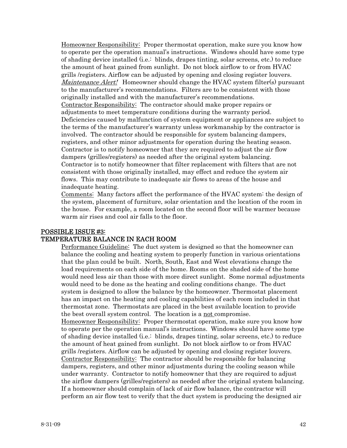Homeowner Responsibility: Proper thermostat operation, make sure you know how to operate per the operation manual's instructions. Windows should have some type of shading device installed (i.e.: blinds, drapes tinting, solar screens, etc.) to reduce the amount of heat gained from sunlight. Do not block airflow to or from HVAC grills /registers. Airflow can be adjusted by opening and closing register louvers. *Maintenance Alert!* Homeowner should change the HVAC system filter(s) pursuant to the manufacturer's recommendations. Filters are to be consistent with those originally installed and with the manufacturer's recommendations. Contractor Responsibility: The contractor should make proper repairs or adjustments to meet temperature conditions during the warranty period. Deficiencies caused by malfunction of system equipment or appliances are subject to the terms of the manufacturer's warranty unless workmanship by the contractor is involved. The contractor should be responsible for system balancing dampers, registers, and other minor adjustments for operation during the heating season. Contractor is to notify homeowner that they are required to adjust the air flow dampers (grilles/registers) as needed after the original system balancing. Contractor is to notify homeowner that filter replacement with filters that are not consistent with those originally installed, may effect and reduce the system air flows. This may contribute to inadequate air flows to areas of the house and inadequate heating.

Comments: Many factors affect the performance of the HVAC system: the design of the system, placement of furniture, solar orientation and the location of the room in the house. For example, a room located on the second floor will be warmer because warm air rises and cool air falls to the floor.

#### POSSIBLE ISSUE #3: TEMPERATURE BALANCE IN EACH ROOM

Performance Guideline: The duct system is designed so that the homeowner can balance the cooling and heating system to properly function in various orientations that the plan could be built. North, South, East and West elevations change the load requirements on each side of the home. Rooms on the shaded side of the home would need less air than those with more direct sunlight. Some normal adjustments would need to be done as the heating and cooling conditions change. The duct system is designed to allow the balance by the homeowner. Thermostat placement has an impact on the heating and cooling capabilities of each room included in that thermostat zone. Thermostats are placed in the best available location to provide the best overall system control. The location is a not compromise.

Homeowner Responsibility: Proper thermostat operation, make sure you know how to operate per the operation manual's instructions. Windows should have some type of shading device installed (i.e.: blinds, drapes tinting, solar screens, etc.) to reduce the amount of heat gained from sunlight. Do not block airflow to or from HVAC grills /registers. Airflow can be adjusted by opening and closing register louvers. Contractor Responsibility: The contractor should be responsible for balancing dampers, registers, and other minor adjustments during the cooling season while under warranty. Contractor to notify homeowner that they are required to adjust the airflow dampers (grilles/registers) as needed after the original system balancing. If a homeowner should complain of lack of air flow balance, the contractor will perform an air flow test to verify that the duct system is producing the designed air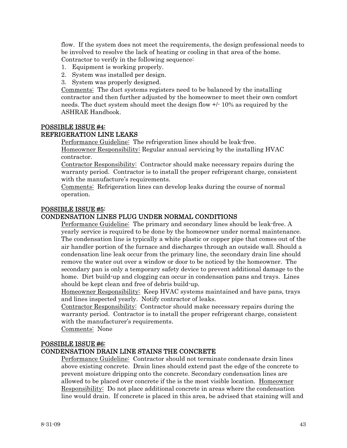flow. If the system does not meet the requirements, the design professional needs to be involved to resolve the lack of heating or cooling in that area of the home. Contractor to verify in the following sequence:

- 1. Equipment is working properly.
- 2. System was installed per design.
- 3. System was properly designed.

Comments: The duct systems registers need to be balanced by the installing contractor and then further adjusted by the homeowner to meet their own comfort needs. The duct system should meet the design flow +/- 10% as required by the ASHRAE Handbook.

# POSSIBLE ISSUE #4:

# REFRIGERATION LINE LEAKS

Performance Guideline: The refrigeration lines should be leak-free.

Homeowner Responsibility: Regular annual servicing by the installing HVAC contractor.

Contractor Responsibility: Contractor should make necessary repairs during the warranty period. Contractor is to install the proper refrigerant charge, consistent with the manufacture's requirements.

Comments: Refrigeration lines can develop leaks during the course of normal operation.

#### POSSIBLE ISSUE #5:

#### CONDENSATION LINES PLUG UNDER NORMAL CONDITIONS

Performance Guideline: The primary and secondary lines should be leak-free. A yearly service is required to be done by the homeowner under normal maintenance. The condensation line is typically a white plastic or copper pipe that comes out of the air handler portion of the furnace and discharges through an outside wall. Should a condensation line leak occur from the primary line, the secondary drain line should remove the water out over a window or door to be noticed by the homeowner. The secondary pan is only a temporary safety device to prevent additional damage to the home. Dirt build-up and clogging can occur in condensation pans and trays. Lines should be kept clean and free of debris build-up.

Homeowner Responsibility: Keep HVAC systems maintained and have pans, trays and lines inspected yearly. Notify contractor of leaks.

Contractor Responsibility: Contractor should make necessary repairs during the warranty period. Contractor is to install the proper refrigerant charge, consistent with the manufacturer's requirements.

Comments: None

# POSSIBLE ISSUE #6:

# CONDENSATION DRAIN LINE STAINS THE CONCRETE

Performance Guideline: Contractor should not terminate condensate drain lines above existing concrete. Drain lines should extend past the edge of the concrete to prevent moisture dripping onto the concrete. Secondary condensation lines are allowed to be placed over concrete if the is the most visible location. Homeowner Responsibility: Do not place additional concrete in areas where the condensation line would drain. If concrete is placed in this area, be advised that staining will and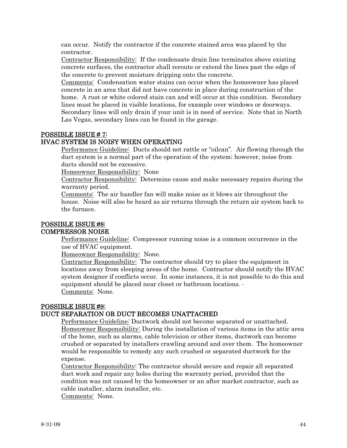can occur. Notify the contractor if the concrete stained area was placed by the contractor.

Contractor Responsibility: If the condensate drain line terminates above existing concrete surfaces, the contractor shall reroute or extend the lines past the edge of the concrete to prevent moisture dripping onto the concrete.

Comments: Condensation water stains can occur when the homeowner has placed concrete in an area that did not have concrete in place during construction of the home. A rust or white colored stain can and will occur at this condition. Secondary lines must be placed in visible locations, for example over windows or doorways. Secondary lines will only drain if your unit is in need of service. Note that in North Las Vegas, secondary lines can be found in the garage.

#### POSSIBLE ISSUE # 7:

#### HVAC SYSTEM IS NOISY WHEN OPERATING

Performance Guideline: Ducts should not rattle or "oilcan". Air flowing through the duct system is a normal part of the operation of the system; however, noise from ducts should not be excessive.

Homeowner Responsibility: None

Contractor Responsibility: Determine cause and make necessary repairs during the warranty period.

Comments: The air handler fan will make noise as it blows air throughout the house. Noise will also be heard as air returns through the return air system back to the furnace.

# POSSIBLE ISSUE #8:

#### COMPRESSOR NOISE

Performance Guideline: Compressor running noise is a common occurrence in the use of HVAC equipment.

Homeowner Responsibility: None.

Contractor Responsibility: The contractor should try to place the equipment in locations away from sleeping areas of the home. Contractor should notify the HVAC system designer if conflicts occur. In some instances, it is not possible to do this and equipment should be placed near closet or bathroom locations. Comments: None.

#### POSSIBLE ISSUE #9: DUCT SEPARATION OR DUCT BECOMES UNATTACHED

Performance Guideline: Ductwork should not become separated or unattached. Homeowner Responsibility: During the installation of various items in the attic area of the home, such as alarms, cable television or other items, ductwork can become crushed or separated by installers crawling around and over them. The homeowner would be responsible to remedy any such crushed or separated ductwork for the expense.

Contractor Responsibility: The contractor should secure and repair all separated duct work and repair any holes during the warranty period, provided that the condition was not caused by the homeowner or an after market contractor, such as cable installer, alarm installer, etc.

Comments: None.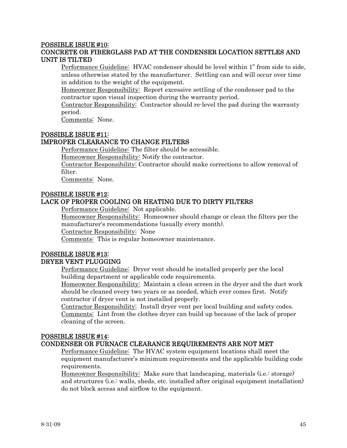#### POSSIBLE ISSUE #10:

# CONCRETE OR FIBERGLASS PAD AT THE CONDENSER LOCATION SETTLES AND UNIT IS TILTED

Performance Guideline: HVAC condenser should be level within 1" from side to side, unless otherwise stated by the manufacturer. Settling can and will occur over time in addition to the weight of the equipment.

Homeowner Responsibility: Report excessive settling of the condenser pad to the contractor upon visual inspection during the warranty period.

Contractor Responsibility: Contractor should re-level the pad during the warranty period.

Comments: None.

#### POSSIBLE ISSUE #11:

#### IMPROPER CLEARANCE TO CHANGE FILTERS

Performance Guideline: The filter should be accessible.

Homeowner Responsibility: Notify the contractor.

Contractor Responsibility: Contractor should make corrections to allow removal of filter.

Comments: None.

#### POSSIBLE ISSUE #12: LACK OF PROPER COOLING OR HEATING DUE TO DIRTY FILTERS

Performance Guideline: Not applicable.

Homeowner Responsibility: Homeowner should change or clean the filters per the manufacturer's recommendations (usually every month).

Contractor Responsibility: None

Comments: This is regular homeowner maintenance.

# POSSIBLE ISSUE #13: DRYER VENT PLUGGING

Performance Guideline: Dryer vent should be installed properly per the local building department or applicable code requirements.

Homeowner Responsibility: Maintain a clean screen in the dryer and the duct work should be cleaned every two years or as needed, which ever comes first. Notify contractor if dryer vent is not installed properly.

Contractor Responsibility: Install dryer vent per local building and safety codes. Comments: Lint from the clothes dryer can build up because of the lack of proper cleaning of the screen.

#### POSSIBLE ISSUE #14:

# CONDENSER OR FURNACE CLEARANCE REQUIREMENTS ARE NOT MET

Performance Guideline: The HVAC system equipment locations shall meet the equipment manufacturer's minimum requirements and the applicable building code requirements.

Homeowner Responsibility: Make sure that landscaping, materials (i.e.: storage) and structures (i.e.: walls, sheds, etc. installed after original equipment installation) do not block access and airflow to the equipment.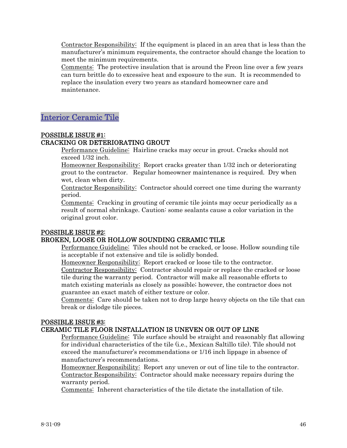<span id="page-45-0"></span>Contractor Responsibility: If the equipment is placed in an area that is less than the manufacturer's minimum requirements, the contractor should change the location to meet the minimum requirements.

Comments: The protective insulation that is around the Freon line over a few years can turn brittle do to excessive heat and exposure to the sun. It is recommended to replace the insulation every two years as standard homeowner care and maintenance.

# Interior Ceramic Tile

# POSSIBLE ISSUE #1:

# CRACKING OR DETERIORATING GROUT

Performance Guideline: Hairline cracks may occur in grout. Cracks should not exceed 1/32 inch.

Homeowner Responsibility: Report cracks greater than 1/32 inch or deteriorating grout to the contractor. Regular homeowner maintenance is required. Dry when wet, clean when dirty.

Contractor Responsibility: Contractor should correct one time during the warranty period.

Comments: Cracking in grouting of ceramic tile joints may occur periodically as a result of normal shrinkage. Caution: some sealants cause a color variation in the original grout color.

# POSSIBLE ISSUE #2:

# BROKEN, LOOSE OR HOLLOW SOUNDING CERAMIC TILE

Performance Guideline: Tiles should not be cracked, or loose. Hollow sounding tile is acceptable if not extensive and tile is solidly bonded.

Homeowner Responsibility: Report cracked or loose tile to the contractor.

Contractor Responsibility: Contractor should repair or replace the cracked or loose tile during the warranty period. Contractor will make all reasonable efforts to match existing materials as closely as possible; however, the contractor does not guarantee an exact match of either texture or color.

Comments: Care should be taken not to drop large heavy objects on the tile that can break or dislodge tile pieces.

# POSSIBLE ISSUE #3:

# CERAMIC TILE FLOOR INSTALLATION IS UNEVEN OR OUT OF LINE

Performance Guideline: Tile surface should be straight and reasonably flat allowing for individual characteristics of the tile (i.e., Mexican Saltillo tile). Tile should not exceed the manufacturer's recommendations or 1/16 inch lippage in absence of manufacturer's recommendations.

Homeowner Responsibility: Report any uneven or out of line tile to the contractor. Contractor Responsibility: Contractor should make necessary repairs during the warranty period.

Comments: Inherent characteristics of the tile dictate the installation of tile.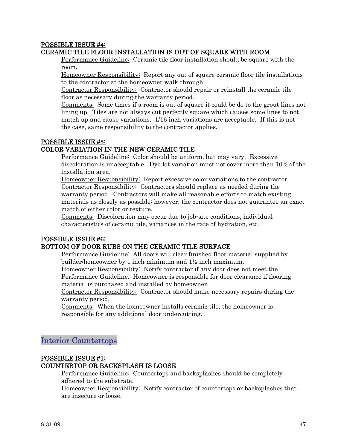#### <span id="page-46-0"></span>POSSIBLE ISSUE #4: CERAMIC TILE FLOOR INSTALLATION IS OUT OF SQUARE WITH ROOM

Performance Guideline: Ceramic tile floor installation should be square with the room.

Homeowner Responsibility: Report any out of square ceramic floor tile installations to the contractor at the homeowner walk through.

Contractor Responsibility: Contractor should repair or reinstall the ceramic tile floor as necessary during the warranty period.

Comments: Some times if a room is out of square it could be do to the grout lines not lining up. Tiles are not always cut perfectly square which causes some lines to not match up and cause variations. 1/16 inch variations are acceptable. If this is not the case, same responsibility to the contractor applies.

# POSSIBLE ISSUE #5:

# COLOR VARIATION IN THE NEW CERAMIC TILE

Performance Guideline: Color should be uniform, but may vary. Excessive discoloration is unacceptable. Dye lot variation must not cover more than 10% of the installation area.

Homeowner Responsibility: Report excessive color variations to the contractor. Contractor Responsibility: Contractors should replace as needed during the warranty period. Contractors will make all reasonable efforts to match existing materials as closely as possible; however, the contractor does not guarantee an exact match of either color or texture.

Comments: Discoloration may occur due to job-site conditions, individual characteristics of ceramic tile, variances in the rate of hydration, etc.

# POSSIBLE ISSUE #6:

# BOTTOM OF DOOR RUBS ON THE CERAMIC TILE SURFACE

Performance Guideline: All doors will clear finished floor material supplied by builder/homeowner by 1 inch minimum and 1½ inch maximum.

Homeowner Responsibility: Notify contractor if any door does not meet the Performance Guideline. Homeowner is responsible for door clearance if flooring material is purchased and installed by homeowner.

Contractor Responsibility: Contractor should make necessary repairs during the warranty period.

Comments: When the homeowner installs ceramic tile, the homeowner is responsible for any additional door undercutting.

# Interior Countertops

# POSSIBLE ISSUE #1:

# COUNTERTOP OR BACKSPLASH IS LOOSE

Performance Guideline: Countertops and backsplashes should be completely adhered to the substrate.

Homeowner Responsibility: Notify contractor of countertops or backsplashes that are insecure or loose.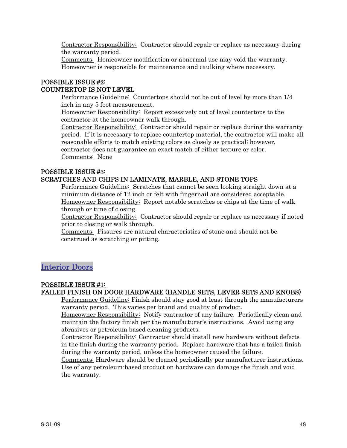<span id="page-47-0"></span>Contractor Responsibility: Contractor should repair or replace as necessary during the warranty period.

Comments: Homeowner modification or abnormal use may void the warranty. Homeowner is responsible for maintenance and caulking where necessary.

# POSSIBLE ISSUE #2: COUNTERTOP IS NOT LEVEL

Performance Guideline: Countertops should not be out of level by more than 1/4 inch in any 5 foot measurement.

Homeowner Responsibility: Report excessively out of level countertops to the contractor at the homeowner walk through.

Contractor Responsibility: Contractor should repair or replace during the warranty period. If it is necessary to replace countertop material, the contractor will make all reasonable efforts to match existing colors as closely as practical; however, contractor does not guarantee an exact match of either texture or color.

Comments: None

# POSSIBLE ISSUE #3:

# SCRATCHES AND CHIPS IN LAMINATE, MARBLE, AND STONE TOPS

Performance Guideline: Scratches that cannot be seen looking straight down at a minimum distance of 12 inch or felt with fingernail are considered acceptable. Homeowner Responsibility: Report notable scratches or chips at the time of walk through or time of closing.

Contractor Responsibility: Contractor should repair or replace as necessary if noted prior to closing or walk through.

Comments: Fissures are natural characteristics of stone and should not be construed as scratching or pitting.

# Interior Doors

# POSSIBLE ISSUE #1:

# FAILED FINISH ON DOOR HARDWARE (HANDLE SETS, LEVER SETS AND KNOBS)

Performance Guideline: Finish should stay good at least through the manufacturers warranty period. This varies per brand and quality of product.

Homeowner Responsibility: Notify contractor of any failure. Periodically clean and maintain the factory finish per the manufacturer's instructions. Avoid using any abrasives or petroleum based cleaning products.

Contractor Responsibility: Contractor should install new hardware without defects in the finish during the warranty period. Replace hardware that has a failed finish during the warranty period, unless the homeowner caused the failure.

Comments: Hardware should be cleaned periodically per manufacturer instructions. Use of any petroleum-based product on hardware can damage the finish and void the warranty.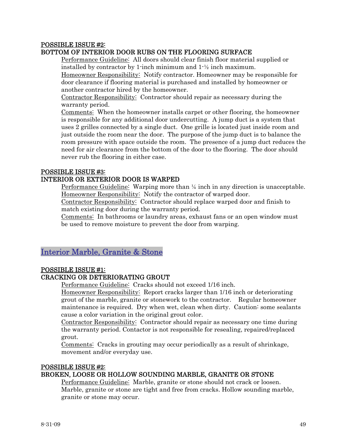# <span id="page-48-0"></span>POSSIBLE ISSUE #2:

# BOTTOM OF INTERIOR DOOR RUBS ON THE FLOORING SURFACE

Performance Guideline: All doors should clear finish floor material supplied or installed by contractor by 1-inch minimum and 1-½ inch maximum.

Homeowner Responsibility: Notify contractor. Homeowner may be responsible for door clearance if flooring material is purchased and installed by homeowner or another contractor hired by the homeowner.

Contractor Responsibility: Contractor should repair as necessary during the warranty period.

Comments: When the homeowner installs carpet or other flooring, the homeowner is responsible for any additional door undercutting. A jump duct is a system that uses 2 grilles connected by a single duct. One grille is located just inside room and just outside the room near the door. The purpose of the jump duct is to balance the room pressure with space outside the room. The presence of a jump duct reduces the need for air clearance from the bottom of the door to the flooring. The door should never rub the flooring in either case.

# POSSIBLE ISSUE #3:

# INTERIOR OR EXTERIOR DOOR IS WARPED

Performance Guideline: Warping more than ¼ inch in any direction is unacceptable. Homeowner Responsibility: Notify the contractor of warped door.

Contractor Responsibility: Contractor should replace warped door and finish to match existing door during the warranty period.

Comments: In bathrooms or laundry areas, exhaust fans or an open window must be used to remove moisture to prevent the door from warping.

# Interior Marble, Granite & Stone

# POSSIBLE ISSUE #1:

# CRACKING OR DETERIORATING GROUT

Performance Guideline: Cracks should not exceed 1/16 inch.

Homeowner Responsibility: Report cracks larger than 1/16 inch or deteriorating grout of the marble, granite or stonework to the contractor. Regular homeowner maintenance is required. Dry when wet, clean when dirty. Caution: some sealants cause a color variation in the original grout color.

Contractor Responsibility: Contractor should repair as necessary one time during the warranty period. Contactor is not responsible for resealing, repaired/replaced grout.

Comments: Cracks in grouting may occur periodically as a result of shrinkage, movement and/or everyday use.

# POSSIBLE ISSUE #2:

# BROKEN, LOOSE OR HOLLOW SOUNDING MARBLE, GRANITE OR STONE

Performance Guideline: Marble, granite or stone should not crack or loosen. Marble, granite or stone are tight and free from cracks. Hollow sounding marble, granite or stone may occur.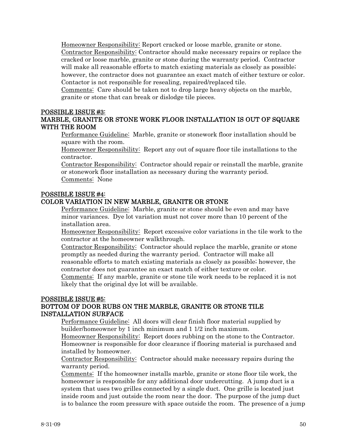Homeowner Responsibility: Report cracked or loose marble, granite or stone. Contractor Responsibility: Contractor should make necessary repairs or replace the cracked or loose marble, granite or stone during the warranty period. Contractor will make all reasonable efforts to match existing materials as closely as possible; however, the contractor does not guarantee an exact match of either texture or color. Contactor is not responsible for resealing, repaired/replaced tile.

Comments: Care should be taken not to drop large heavy objects on the marble, granite or stone that can break or dislodge tile pieces.

#### POSSIBLE ISSUE #3:

# MARBLE, GRANITE OR STONE WORK FLOOR INSTALLATION IS OUT OF SQUARE WITH THE ROOM

Performance Guideline: Marble, granite or stonework floor installation should be square with the room.

Homeowner Responsibility: Report any out of square floor tile installations to the contractor.

Contractor Responsibility: Contractor should repair or reinstall the marble, granite or stonework floor installation as necessary during the warranty period. Comments: None

#### POSSIBLE ISSUE #4: COLOR VARIATION IN NEW MARBLE, GRANITE OR STONE

Performance Guideline: Marble, granite or stone should be even and may have minor variances. Dye lot variation must not cover more than 10 percent of the installation area.

Homeowner Responsibility: Report excessive color variations in the tile work to the contractor at the homeowner walkthrough.

Contractor Responsibility: Contractor should replace the marble, granite or stone promptly as needed during the warranty period. Contractor will make all reasonable efforts to match existing materials as closely as possible; however, the contractor does not guarantee an exact match of either texture or color.

Comments: If any marble, granite or stone tile work needs to be replaced it is not likely that the original dye lot will be available.

# POSSIBLE ISSUE #5: BOTTOM OF DOOR RUBS ON THE MARBLE, GRANITE OR STONE TILE INSTALLATION SURFACE

Performance Guideline: All doors will clear finish floor material supplied by builder/homeowner by 1 inch minimum and 1 1/2 inch maximum.

Homeowner Responsibility: Report doors rubbing on the stone to the Contractor. Homeowner is responsible for door clearance if flooring material is purchased and installed by homeowner.

Contractor Responsibility: Contractor should make necessary repairs during the warranty period.

Comments: If the homeowner installs marble, granite or stone floor tile work, the homeowner is responsible for any additional door undercutting. A jump duct is a system that uses two grilles connected by a single duct. One grille is located just inside room and just outside the room near the door. The purpose of the jump duct is to balance the room pressure with space outside the room. The presence of a jump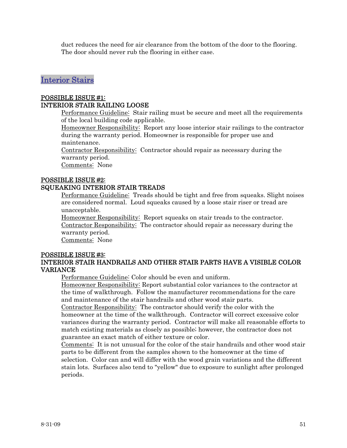<span id="page-50-0"></span>duct reduces the need for air clearance from the bottom of the door to the flooring. The door should never rub the flooring in either case.

# Interior Stairs

#### POSSIBLE ISSUE #1: INTERIOR STAIR RAILING LOOSE

Performance Guideline: Stair railing must be secure and meet all the requirements of the local building code applicable.

Homeowner Responsibility: Report any loose interior stair railings to the contractor during the warranty period. Homeowner is responsible for proper use and maintenance.

Contractor Responsibility: Contractor should repair as necessary during the warranty period.

Comments: None

# POSSIBLE ISSUE #2: SQUEAKING INTERIOR STAIR TREADS

Performance Guideline: Treads should be tight and free from squeaks. Slight noises are considered normal. Loud squeaks caused by a loose stair riser or tread are unacceptable.

Homeowner Responsibility: Report squeaks on stair treads to the contractor. Contractor Responsibility: The contractor should repair as necessary during the warranty period.

Comments: None

#### POSSIBLE ISSUE #3: INTERIOR STAIR HANDRAILS AND OTHER STAIR PARTS HAVE A VISIBLE COLOR VARIANCE

Performance Guideline: Color should be even and uniform.

Homeowner Responsibility: Report substantial color variances to the contractor at the time of walkthrough. Follow the manufacturer recommendations for the care and maintenance of the stair handrails and other wood stair parts.

Contractor Responsibility: The contractor should verify the color with the homeowner at the time of the walkthrough. Contractor will correct excessive color variances during the warranty period. Contractor will make all reasonable efforts to match existing materials as closely as possible; however, the contractor does not guarantee an exact match of either texture or color.

Comments: It is not unusual for the color of the stair handrails and other wood stair parts to be different from the samples shown to the homeowner at the time of selection. Color can and will differ with the wood grain variations and the different stain lots. Surfaces also tend to "yellow" due to exposure to sunlight after prolonged periods.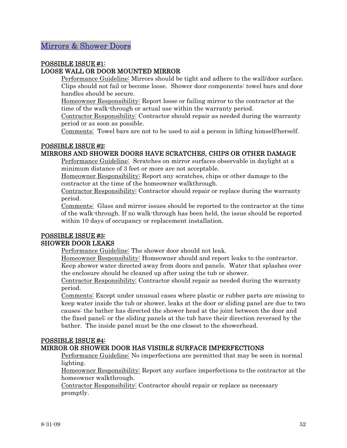# <span id="page-51-0"></span>POSSIBLE ISSUE #1: LOOSE WALL OR DOOR MOUNTED MIRROR

Performance Guideline: Mirrors should be tight and adhere to the wall/door surface. Clips should not fail or become loose. Shower door components: towel bars and door handles should be secure.

Homeowner Responsibility: Report loose or failing mirror to the contractor at the time of the walk-through or actual use within the warranty period.

Contractor Responsibility: Contractor should repair as needed during the warranty period or as soon as possible.

Comments: Towel bars are not to be used to aid a person in lifting himself/herself.

# POSSIBLE ISSUE #2:

# MIRRORS AND SHOWER DOORS HAVE SCRATCHES, CHIPS OR OTHER DAMAGE

Performance Guideline: Scratches on mirror surfaces observable in daylight at a minimum distance of 3 feet or more are not acceptable.

Homeowner Responsibility: Report any scratches, chips or other damage to the contractor at the time of the homeowner walkthrough.

Contractor Responsibility: Contractor should repair or replace during the warranty period.

Comments: Glass and mirror issues should be reported to the contractor at the time of the walk-through. If no walk-through has been held, the issue should be reported within 10 days of occupancy or replacement installation.

# POSSIBLE ISSUE #3: SHOWER DOOR LEAKS

Performance Guideline: The shower door should not leak.

Homeowner Responsibility: Homeowner should and report leaks to the contractor. Keep shower water directed away from doors and panels. Water that splashes over the enclosure should be cleaned up after using the tub or shower.

Contractor Responsibility: Contractor should repair as needed during the warranty period.

Comments: Except under unusual cases where plastic or rubber parts are missing to keep water inside the tub or shower, leaks at the door or sliding panel are due to two causes: the bather has directed the shower head at the joint between the door and the fixed panel; or the sliding panels at the tub have their direction reversed by the bather. The inside panel must be the one closest to the showerhead.

# POSSIBLE ISSUE #4:

# MIRROR OR SHOWER DOOR HAS VISIBLE SURFACE IMPERFECTIONS

Performance Guideline: No imperfections are permitted that may be seen in normal lighting.

Homeowner Responsibility: Report any surface imperfections to the contractor at the homeowner walkthrough.

Contractor Responsibility: Contractor should repair or replace as necessary promptly.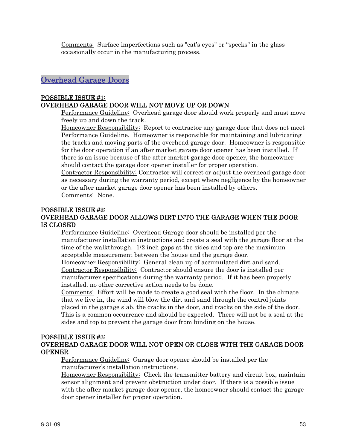<span id="page-52-0"></span>Comments: Surface imperfections such as "cat's eyes" or "specks" in the glass occasionally occur in the manufacturing process.

# Overhead Garage Doors

# POSSIBLE ISSUE #1:

# OVERHEAD GARAGE DOOR WILL NOT MOVE UP OR DOWN

Performance Guideline: Overhead garage door should work properly and must move freely up and down the track.

Homeowner Responsibility: Report to contractor any garage door that does not meet Performance Guideline. Homeowner is responsible for maintaining and lubricating the tracks and moving parts of the overhead garage door. Homeowner is responsible for the door operation if an after market garage door opener has been installed. If there is an issue because of the after market garage door opener, the homeowner should contact the garage door opener installer for proper operation.

Contractor Responsibility: Contractor will correct or adjust the overhead garage door as necessary during the warranty period, except where negligence by the homeowner or the after market garage door opener has been installed by others. Comments: None.

# POSSIBLE ISSUE #2:

# OVERHEAD GARAGE DOOR ALLOWS DIRT INTO THE GARAGE WHEN THE DOOR IS CLOSED

Performance Guideline: Overhead Garage door should be installed per the manufacturer installation instructions and create a seal with the garage floor at the time of the walkthrough. 1/2 inch gaps at the sides and top are the maximum acceptable measurement between the house and the garage door.

Homeowner Responsibility: General clean up of accumulated dirt and sand. Contractor Responsibility: Contractor should ensure the door is installed per manufacturer specifications during the warranty period. If it has been properly installed, no other corrective action needs to be done.

Comments: Effort will be made to create a good seal with the floor. In the climate that we live in, the wind will blow the dirt and sand through the control joints placed in the garage slab, the cracks in the door, and tracks on the side of the door. This is a common occurrence and should be expected. There will not be a seal at the sides and top to prevent the garage door from binding on the house.

# POSSIBLE ISSUE #3:

# OVERHEAD GARAGE DOOR WILL NOT OPEN OR CLOSE WITH THE GARAGE DOOR OPENER

Performance Guideline: Garage door opener should be installed per the manufacturer's installation instructions.

Homeowner Responsibility: Check the transmitter battery and circuit box, maintain sensor alignment and prevent obstruction under door. If there is a possible issue with the after market garage door opener, the homeowner should contact the garage door opener installer for proper operation.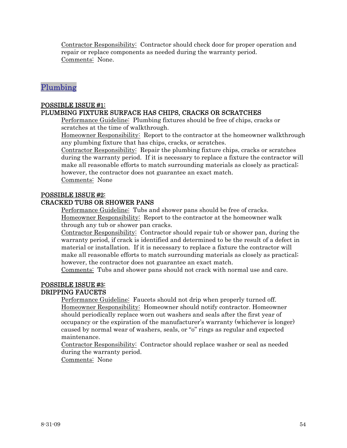<span id="page-53-0"></span>Contractor Responsibility: Contractor should check door for proper operation and repair or replace components as needed during the warranty period. Comments: None.

# Plumbing

# POSSIBLE ISSUE #1:

# PLUMBING FIXTURE SURFACE HAS CHIPS, CRACKS OR SCRATCHES

Performance Guideline: Plumbing fixtures should be free of chips, cracks or scratches at the time of walkthrough.

Homeowner Responsibility: Report to the contractor at the homeowner walkthrough any plumbing fixture that has chips, cracks, or scratches.

Contractor Responsibility: Repair the plumbing fixture chips, cracks or scratches during the warranty period. If it is necessary to replace a fixture the contractor will make all reasonable efforts to match surrounding materials as closely as practical; however, the contractor does not guarantee an exact match.

Comments: None

# POSSIBLE ISSUE #2:

# CRACKED TUBS OR SHOWER PANS

Performance Guideline: Tubs and shower pans should be free of cracks. Homeowner Responsibility: Report to the contractor at the homeowner walk through any tub or shower pan cracks.

Contractor Responsibility: Contractor should repair tub or shower pan, during the warranty period, if crack is identified and determined to be the result of a defect in material or installation. If it is necessary to replace a fixture the contractor will make all reasonable efforts to match surrounding materials as closely as practical; however, the contractor does not guarantee an exact match.

Comments: Tubs and shower pans should not crack with normal use and care.

#### POSSIBLE ISSUE #3: DRIPPING FAUCETS

Performance Guideline: Faucets should not drip when properly turned off. Homeowner Responsibility: Homeowner should notify contractor. Homeowner should periodically replace worn out washers and seals after the first year of occupancy or the expiration of the manufacturer's warranty (whichever is longer) caused by normal wear of washers, seals, or "o'' rings as regular and expected maintenance.

Contractor Responsibility: Contractor should replace washer or seal as needed during the warranty period.

Comments: None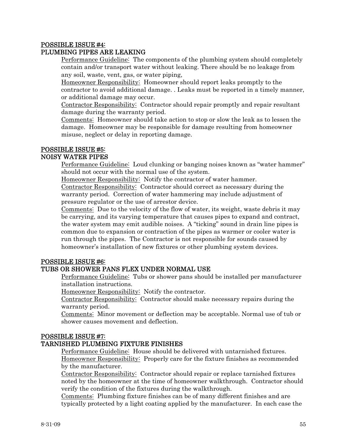#### POSSIBLE ISSUE #4: PLUMBING PIPES ARE LEAKING

Performance Guideline: The components of the plumbing system should completely contain and/or transport water without leaking. There should be no leakage from any soil, waste, vent, gas, or water piping,

Homeowner Responsibility: Homeowner should report leaks promptly to the contractor to avoid additional damage. . Leaks must be reported in a timely manner, or additional damage may occur.

Contractor Responsibility: Contractor should repair promptly and repair resultant damage during the warranty period.

Comments: Homeowner should take action to stop or slow the leak as to lessen the damage. Homeowner may be responsible for damage resulting from homeowner misuse, neglect or delay in reporting damage.

# POSSIBLE ISSUE #5:

# NOISY WATER PIPES

Performance Guideline: Loud clunking or banging noises known as "water hammer" should not occur with the normal use of the system.

Homeowner Responsibility: Notify the contractor of water hammer.

Contractor Responsibility: Contractor should correct as necessary during the warranty period. Correction of water hammering may include adjustment of pressure regulator or the use of arrestor device.

Comments: Due to the velocity of the flow of water, its weight, waste debris it may be carrying, and its varying temperature that causes pipes to expand and contract, the water system may emit audible noises. A "ticking" sound in drain line pipes is common due to expansion or contraction of the pipes as warmer or cooler water is run through the pipes. The Contractor is not responsible for sounds caused by homeowner's installation of new fixtures or other plumbing system devices.

# POSSIBLE ISSUE #6:

# TUBS OR SHOWER PANS FLEX UNDER NORMAL USE

Performance Guideline: Tubs or shower pans should be installed per manufacturer installation instructions.

Homeowner Responsibility: Notify the contractor.

Contractor Responsibility: Contractor should make necessary repairs during the warranty period.

Comments: Minor movement or deflection may be acceptable. Normal use of tub or shower causes movement and deflection.

# POSSIBLE ISSUE #7:

# TARNISHED PLUMBING FIXTURE FINISHES

Performance Guideline: House should be delivered with untarnished fixtures. Homeowner Responsibility: Properly care for the fixture finishes as recommended by the manufacturer.

Contractor Responsibility: Contractor should repair or replace tarnished fixtures noted by the homeowner at the time of homeowner walkthrough. Contractor should verify the condition of the fixtures during the walkthrough.

Comments: Plumbing fixture finishes can be of many different finishes and are typically protected by a light coating applied by the manufacturer. In each case the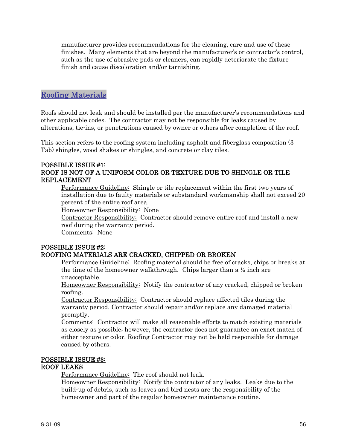<span id="page-55-0"></span>manufacturer provides recommendations for the cleaning, care and use of these finishes. Many elements that are beyond the manufacturer's or contractor's control, such as the use of abrasive pads or cleaners, can rapidly deteriorate the fixture finish and cause discoloration and/or tarnishing.

# Roofing Materials

Roofs should not leak and should be installed per the manufacturer's recommendations and other applicable codes. The contractor may not be responsible for leaks caused by alterations, tie-ins, or penetrations caused by owner or others after completion of the roof.

This section refers to the roofing system including asphalt and fiberglass composition (3 Tab) shingles, wood shakes or shingles, and concrete or clay tiles.

# POSSIBLE ISSUE #1:

# ROOF IS NOT OF A UNIFORM COLOR OR TEXTURE DUE TO SHINGLE OR TILE REPLACEMENT

Performance Guideline: Shingle or tile replacement within the first two years of installation due to faulty materials or substandard workmanship shall not exceed 20 percent of the entire roof area.

Homeowner Responsibility: None

Contractor Responsibility: Contractor should remove entire roof and install a new roof during the warranty period.

Comments: None

# POSSIBLE ISSUE #2:

# ROOFING MATERIALS ARE CRACKED, CHIPPED OR BROKEN

Performance Guideline: Roofing material should be free of cracks, chips or breaks at the time of the homeowner walkthrough. Chips larger than a  $\frac{1}{2}$  inch are unacceptable.

Homeowner Responsibility: Notify the contractor of any cracked, chipped or broken roofing.

Contractor Responsibility: Contractor should replace affected tiles during the warranty period. Contractor should repair and/or replace any damaged material promptly.

Comments: Contractor will make all reasonable efforts to match existing materials as closely as possible; however, the contractor does not guarantee an exact match of either texture or color. Roofing Contractor may not be held responsible for damage caused by others.

# POSSIBLE ISSUE #3:

# ROOF LEAKS

Performance Guideline: The roof should not leak.

Homeowner Responsibility: Notify the contractor of any leaks. Leaks due to the build-up of debris, such as leaves and bird nests are the responsibility of the homeowner and part of the regular homeowner maintenance routine.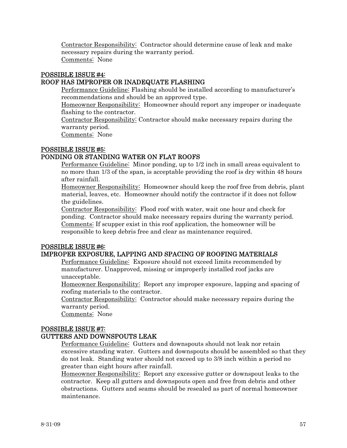Contractor Responsibility: Contractor should determine cause of leak and make necessary repairs during the warranty period. Comments: None

# POSSIBLE ISSUE #4:

# ROOF HAS IMPROPER OR INADEQUATE FLASHING

Performance Guideline: Flashing should be installed according to manufacturer's recommendations and should be an approved type.

Homeowner Responsibility: Homeowner should report any improper or inadequate flashing to the contractor.

Contractor Responsibility: Contractor should make necessary repairs during the warranty period.

Comments: None

# POSSIBLE ISSUE #5:

# PONDING OR STANDING WATER ON FLAT ROOFS

Performance Guideline: Minor ponding, up to 1/2 inch in small areas equivalent to no more than 1/3 of the span, is acceptable providing the roof is dry within 48 hours after rainfall.

Homeowner Responsibility: Homeowner should keep the roof free from debris, plant material, leaves, etc. Homeowner should notify the contractor if it does not follow the guidelines.

Contractor Responsibility: Flood roof with water, wait one hour and check for ponding. Contractor should make necessary repairs during the warranty period. Comments: If scupper exist in this roof application, the homeowner will be responsible to keep debris free and clear as maintenance required.

# POSSIBLE ISSUE #6:

# IMPROPER EXPOSURE, LAPPING AND SPACING OF ROOFING MATERIALS

Performance Guideline: Exposure should not exceed limits recommended by manufacturer. Unapproved, missing or improperly installed roof jacks are unacceptable.

Homeowner Responsibility: Report any improper exposure, lapping and spacing of roofing materials to the contractor.

Contractor Responsibility: Contractor should make necessary repairs during the warranty period.

Comments: None

# POSSIBLE ISSUE #7:

# GUTTERS AND DOWNSPOUTS LEAK

Performance Guideline: Gutters and downspouts should not leak nor retain excessive standing water. Gutters and downspouts should be assembled so that they do not leak. Standing water should not exceed up to 3/8 inch within a period no greater than eight hours after rainfall.

Homeowner Responsibility: Report any excessive gutter or downspout leaks to the contractor. Keep all gutters and downspouts open and free from debris and other obstructions. Gutters and seams should be resealed as part of normal homeowner maintenance.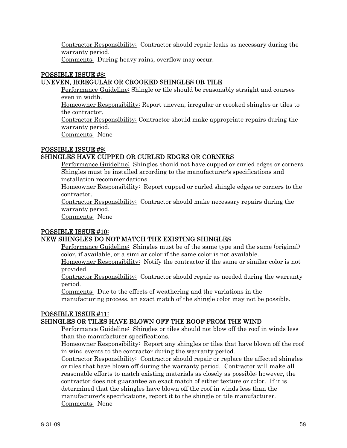Contractor Responsibility: Contractor should repair leaks as necessary during the warranty period.

Comments: During heavy rains, overflow may occur.

# POSSIBLE ISSUE #8:

# UNEVEN, IRREGULAR OR CROOKED SHINGLES OR TILE

Performance Guideline: Shingle or tile should be reasonably straight and courses even in width.

Homeowner Responsibility: Report uneven, irregular or crooked shingles or tiles to the contractor.

Contractor Responsibility: Contractor should make appropriate repairs during the warranty period.

Comments: None

# POSSIBLE ISSUE #9:

# SHINGLES HAVE CUPPED OR CURLED EDGES OR CORNERS

Performance Guideline: Shingles should not have cupped or curled edges or corners. Shingles must be installed according to the manufacturer's specifications and installation recommendations.

Homeowner Responsibility: Report cupped or curled shingle edges or corners to the contractor.

Contractor Responsibility: Contractor should make necessary repairs during the warranty period.

Comments: None

# POSSIBLE ISSUE #10:

# NEW SHINGLES DO NOT MATCH THE EXISTING SHINGLES

Performance Guideline: Shingles must be of the same type and the same (original) color, if available, or a similar color if the same color is not available.

Homeowner Responsibility: Notify the contractor if the same or similar color is not provided.

Contractor Responsibility: Contractor should repair as needed during the warranty period.

Comments: Due to the effects of weathering and the variations in the

manufacturing process, an exact match of the shingle color may not be possible.

# POSSIBLE ISSUE #11:

# SHINGLES OR TILES HAVE BLOWN OFF THE ROOF FROM THE WIND

Performance Guideline: Shingles or tiles should not blow off the roof in winds less than the manufacturer specifications.

Homeowner Responsibility: Report any shingles or tiles that have blown off the roof in wind events to the contractor during the warranty period.

Contractor Responsibility: Contractor should repair or replace the affected shingles or tiles that have blown off during the warranty period. Contractor will make all reasonable efforts to match existing materials as closely as possible; however, the contractor does not guarantee an exact match of either texture or color. If it is determined that the shingles have blown off the roof in winds less than the manufacturer's specifications, report it to the shingle or tile manufacturer. Comments: None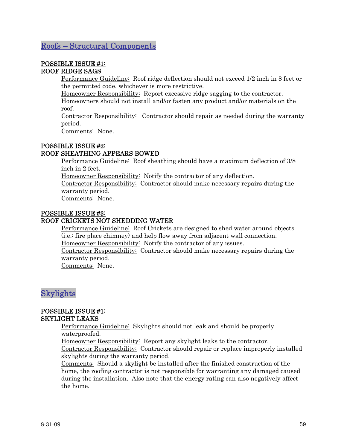# <span id="page-58-0"></span>Roofs – Structural Components

#### POSSIBLE ISSUE #1: ROOF RIDGE SAGS

Performance Guideline: Roof ridge deflection should not exceed 1/2 inch in 8 feet or the permitted code, whichever is more restrictive.

Homeowner Responsibility: Report excessive ridge sagging to the contractor. Homeowners should not install and/or fasten any product and/or materials on the

roof.

Contractor Responsibility: Contractor should repair as needed during the warranty period.

Comments: None.

# POSSIBLE ISSUE #2:

# ROOF SHEATHING APPEARS BOWED

Performance Guideline: Roof sheathing should have a maximum deflection of 3/8 inch in 2 feet.

Homeowner Responsibility: Notify the contractor of any deflection.

Contractor Responsibility: Contractor should make necessary repairs during the warranty period.

Comments: None.

# POSSIBLE ISSUE #3:

## ROOF CRICKETS NOT SHEDDING WATER

Performance Guideline: Roof Crickets are designed to shed water around objects (i.e.: fire place chimney) and help flow away from adjacent wall connection. Homeowner Responsibility: Notify the contractor of any issues.

Contractor Responsibility: Contractor should make necessary repairs during the warranty period.

Comments: None.

# Skylights

#### POSSIBLE ISSUE #1: SKYLIGHT LEAKS

Performance Guideline: Skylights should not leak and should be properly waterproofed.

Homeowner Responsibility: Report any skylight leaks to the contractor.

Contractor Responsibility: Contractor should repair or replace improperly installed skylights during the warranty period.

Comments: Should a skylight be installed after the finished construction of the home, the roofing contractor is not responsible for warranting any damaged caused during the installation. Also note that the energy rating can also negatively affect the home.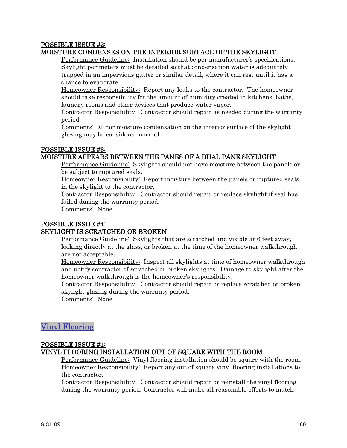# <span id="page-59-0"></span>POSSIBLE ISSUE #2:

# MOISTURE CONDENSES ON THE INTERIOR SURFACE OF THE SKYLIGHT

Performance Guideline: Installation should be per manufacturer's specifications. Skylight perimeters must be detailed so that condensation water is adequately trapped in an impervious gutter or similar detail, where it can rest until it has a chance to evaporate.

Homeowner Responsibility: Report any leaks to the contractor. The homeowner should take responsibility for the amount of humidity created in kitchens, baths, laundry rooms and other devices that produce water vapor.

Contractor Responsibility: Contractor should repair as needed during the warranty period.

Comments: Minor moisture condensation on the interior surface of the skylight glazing may be considered normal.

# POSSIBLE ISSUE #3:

# MOISTURE APPEARS BETWEEN THE PANES OF A DUAL PANE SKYLIGHT

Performance Guideline: Skylights should not have moisture between the panels or be subject to ruptured seals.

Homeowner Responsibility: Report moisture between the panels or ruptured seals in the skylight to the contractor.

Contractor Responsibility: Contractor should repair or replace skylight if seal has failed during the warranty period.

Comments: None

## POSSIBLE ISSUE #4:

#### SKYLIGHT IS SCRATCHED OR BROKEN

Performance Guideline: Skylights that are scratched and visible at 6 feet away, looking directly at the glass, or broken at the time of the homeowner walkthrough are not acceptable.

Homeowner Responsibility: Inspect all skylights at time of homeowner walkthrough and notify contractor of scratched or broken skylights. Damage to skylight after the homeowner walkthrough is the homeowner's responsibility.

Contractor Responsibility: Contractor should repair or replace scratched or broken skylight glazing during the warranty period.

Comments: None

# Vinyl Flooring

# POSSIBLE ISSUE #1:

# VINYL FLOORING INSTALLATION OUT OF SQUARE WITH THE ROOM

Performance Guideline: Vinyl flooring installation should be square with the room. Homeowner Responsibility: Report any out of square vinyl flooring installations to the contractor.

Contractor Responsibility: Contractor should repair or reinstall the vinyl flooring during the warranty period. Contractor will make all reasonable efforts to match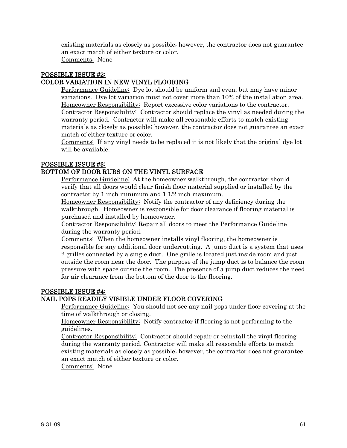existing materials as closely as possible; however, the contractor does not guarantee an exact match of either texture or color.

Comments: None

#### POSSIBLE ISSUE #2: COLOR VARIATION IN NEW VINYL FLOORING

Performance Guideline: Dye lot should be uniform and even, but may have minor variations. Dye lot variation must not cover more than 10% of the installation area. Homeowner Responsibility: Report excessive color variations to the contractor. Contractor Responsibility: Contractor should replace the vinyl as needed during the warranty period. Contractor will make all reasonable efforts to match existing materials as closely as possible; however, the contractor does not guarantee an exact match of either texture or color.

Comments: If any vinyl needs to be replaced it is not likely that the original dye lot will be available.

# POSSIBLE ISSUE #3:

# BOTTOM OF DOOR RUBS ON THE VINYL SURFACE

Performance Guideline: At the homeowner walkthrough, the contractor should verify that all doors would clear finish floor material supplied or installed by the contractor by 1 inch minimum and 1 1/2 inch maximum.

Homeowner Responsibility: Notify the contractor of any deficiency during the walkthrough. Homeowner is responsible for door clearance if flooring material is purchased and installed by homeowner.

Contractor Responsibility: Repair all doors to meet the Performance Guideline during the warranty period.

Comments: When the homeowner installs vinyl flooring, the homeowner is responsible for any additional door undercutting. A jump duct is a system that uses 2 grilles connected by a single duct. One grille is located just inside room and just outside the room near the door. The purpose of the jump duct is to balance the room pressure with space outside the room. The presence of a jump duct reduces the need for air clearance from the bottom of the door to the flooring.

# POSSIBLE ISSUE #4:

# NAIL POPS READILY VISIBLE UNDER FLOOR COVERING

Performance Guideline: You should not see any nail pops under floor covering at the time of walkthrough or closing.

Homeowner Responsibility: Notify contractor if flooring is not performing to the guidelines.

Contractor Responsibility: Contractor should repair or reinstall the vinyl flooring during the warranty period. Contractor will make all reasonable efforts to match existing materials as closely as possible; however, the contractor does not guarantee an exact match of either texture or color.

Comments: None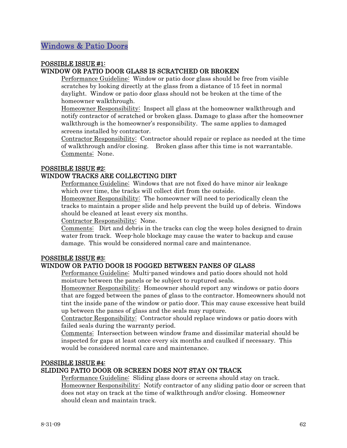# <span id="page-61-0"></span>POSSIBLE ISSUE #1: WINDOW OR PATIO DOOR GLASS IS SCRATCHED OR BROKEN

Performance Guideline: Window or patio door glass should be free from visible scratches by looking directly at the glass from a distance of 15 feet in normal daylight. Window or patio door glass should not be broken at the time of the homeowner walkthrough.

Homeowner Responsibility: Inspect all glass at the homeowner walkthrough and notify contractor of scratched or broken glass. Damage to glass after the homeowner walkthrough is the homeowner's responsibility. The same applies to damaged screens installed by contractor.

Contractor Responsibility: Contractor should repair or replace as needed at the time of walkthrough and/or closing. Broken glass after this time is not warrantable. Comments: None.

# POSSIBLE ISSUE #2:

# WINDOW TRACKS ARE COLLECTING DIRT

Performance Guideline: Windows that are not fixed do have minor air leakage which over time, the tracks will collect dirt from the outside.

Homeowner Responsibility: The homeowner will need to periodically clean the tracks to maintain a proper slide and help prevent the build up of debris. Windows should be cleaned at least every six months.

Contractor Responsibility: None.

Comments: Dirt and debris in the tracks can clog the weep holes designed to drain water from track. Weep-hole blockage may cause the water to backup and cause damage. This would be considered normal care and maintenance.

# POSSIBLE ISSUE #3:

# WINDOW OR PATIO DOOR IS FOGGED BETWEEN PANES OF GLASS

Performance Guideline: Multi-paned windows and patio doors should not hold moisture between the panels or be subject to ruptured seals.

Homeowner Responsibility: Homeowner should report any windows or patio doors that are fogged between the panes of glass to the contractor. Homeowners should not tint the inside pane of the window or patio door. This may cause excessive heat build up between the panes of glass and the seals may rupture.

Contractor Responsibility: Contractor should replace windows or patio doors with failed seals during the warranty period.

Comments: Intersection between window frame and dissimilar material should be inspected for gaps at least once every six months and caulked if necessary. This would be considered normal care and maintenance.

# POSSIBLE ISSUE #4:

# SLIDING PATIO DOOR OR SCREEN DOES NOT STAY ON TRACK

Performance Guideline: Sliding glass doors or screens should stay on track. Homeowner Responsibility: Notify contractor of any sliding patio door or screen that does not stay on track at the time of walkthrough and/or closing. Homeowner should clean and maintain track.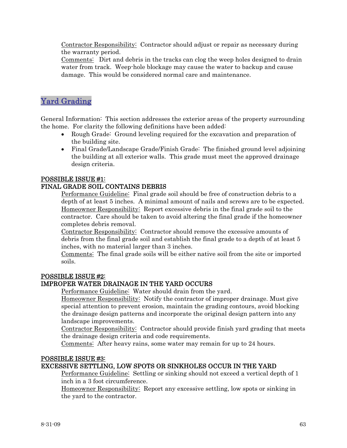<span id="page-62-0"></span>Contractor Responsibility: Contractor should adjust or repair as necessary during the warranty period.

Comments: Dirt and debris in the tracks can clog the weep holes designed to drain water from track. Weep-hole blockage may cause the water to backup and cause damage. This would be considered normal care and maintenance.

# Yard Grading

General Information: This section addresses the exterior areas of the property surrounding the home. For clarity the following definitions have been added:

- Rough Grade: Ground leveling required for the excavation and preparation of the building site.
- Final Grade/Landscape Grade/Finish Grade: The finished ground level adjoining the building at all exterior walls. This grade must meet the approved drainage design criteria.

# POSSIBLE ISSUE #1:

# FINAL GRADE SOIL CONTAINS DEBRIS

Performance Guideline: Final grade soil should be free of construction debris to a depth of at least 5 inches. A minimal amount of nails and screws are to be expected. Homeowner Responsibility: Report excessive debris in the final grade soil to the contractor. Care should be taken to avoid altering the final grade if the homeowner completes debris removal.

Contractor Responsibility: Contractor should remove the excessive amounts of debris from the final grade soil and establish the final grade to a depth of at least 5 inches, with no material larger than 3 inches.

Comments: The final grade soils will be either native soil from the site or imported soils.

# POSSIBLE ISSUE #2:

# IMPROPER WATER DRAINAGE IN THE YARD OCCURS

Performance Guideline: Water should drain from the yard.

Homeowner Responsibility: Notify the contractor of improper drainage. Must give special attention to prevent erosion, maintain the grading contours, avoid blocking the drainage design patterns and incorporate the original design pattern into any landscape improvements.

Contractor Responsibility: Contractor should provide finish yard grading that meets the drainage design criteria and code requirements.

Comments: After heavy rains, some water may remain for up to 24 hours.

#### POSSIBLE ISSUE #3:

# EXCESSIVE SETTLING, LOW SPOTS OR SINKHOLES OCCUR IN THE YARD

Performance Guideline: Settling or sinking should not exceed a vertical depth of 1 inch in a 3 foot circumference.

Homeowner Responsibility: Report any excessive settling, low spots or sinking in the yard to the contractor.